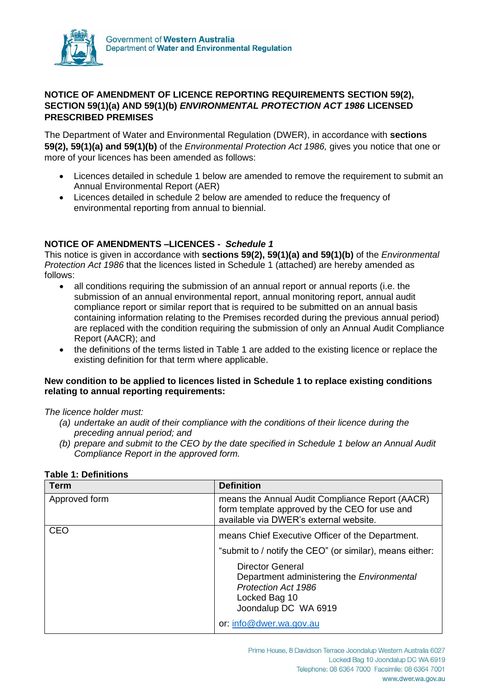

# **NOTICE OF AMENDMENT OF LICENCE REPORTING REQUIREMENTS SECTION 59(2), SECTION 59(1)(a) AND 59(1)(b)** *ENVIRONMENTAL PROTECTION ACT 1986* **LICENSED PRESCRIBED PREMISES**

The Department of Water and Environmental Regulation (DWER), in accordance with **sections 59(2), 59(1)(a) and 59(1)(b)** of the *Environmental Protection Act 1986,* gives you notice that one or more of your licences has been amended as follows:

- Licences detailed in schedule 1 below are amended to remove the requirement to submit an Annual Environmental Report (AER)
- Licences detailed in schedule 2 below are amended to reduce the frequency of environmental reporting from annual to biennial.

# **NOTICE OF AMENDMENTS –LICENCES -** *Schedule 1*

This notice is given in accordance with **sections 59(2), 59(1)(a) and 59(1)(b)** of the *Environmental Protection Act 1986* that the licences listed in Schedule 1 (attached) are hereby amended as follows:

- all conditions requiring the submission of an annual report or annual reports (i.e. the submission of an annual environmental report, annual monitoring report, annual audit compliance report or similar report that is required to be submitted on an annual basis containing information relating to the Premises recorded during the previous annual period) are replaced with the condition requiring the submission of only an Annual Audit Compliance Report (AACR); and
- the definitions of the terms listed in Table 1 are added to the existing licence or replace the existing definition for that term where applicable.

### **New condition to be applied to licences listed in Schedule 1 to replace existing conditions relating to annual reporting requirements:**

*The licence holder must:*

- *(a) undertake an audit of their compliance with the conditions of their licence during the preceding annual period; and*
- *(b) prepare and submit to the CEO by the date specified in Schedule 1 below an Annual Audit Compliance Report in the approved form.*

| <b>Term</b>   | <b>Definition</b>                                                                                                                                   |
|---------------|-----------------------------------------------------------------------------------------------------------------------------------------------------|
| Approved form | means the Annual Audit Compliance Report (AACR)<br>form template approved by the CEO for use and<br>available via DWER's external website.          |
| <b>CEO</b>    | means Chief Executive Officer of the Department.<br>"submit to / notify the CEO" (or similar), means either:                                        |
|               | <b>Director General</b><br>Department administering the <i>Environmental</i><br><b>Protection Act 1986</b><br>Locked Bag 10<br>Joondalup DC WA 6919 |
|               | or: info@dwer.wa.gov.au                                                                                                                             |

# **Table 1: Definitions**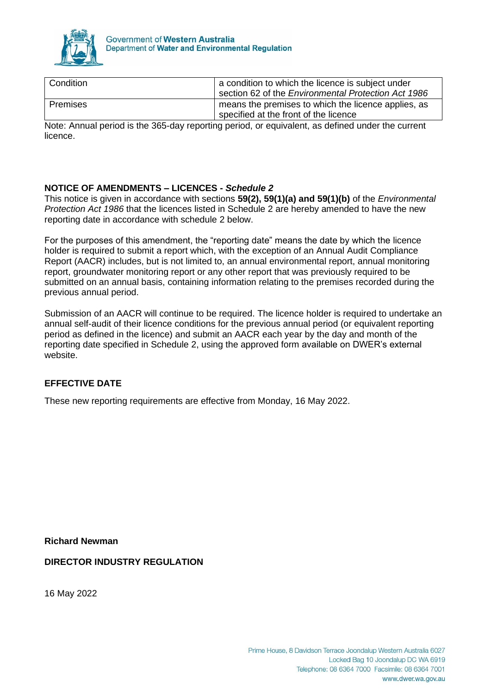

| Condition  | a condition to which the licence is subject under<br>section 62 of the <i>Environmental Protection Act 1986</i> |
|------------|-----------------------------------------------------------------------------------------------------------------|
| l Premises | means the premises to which the licence applies, as<br>specified at the front of the licence                    |

Note: Annual period is the 365-day reporting period, or equivalent, as defined under the current licence.

# **NOTICE OF AMENDMENTS – LICENCES -** *Schedule 2*

This notice is given in accordance with sections **59(2), 59(1)(a) and 59(1)(b)** of the *Environmental Protection Act 1986* that the licences listed in Schedule 2 are hereby amended to have the new reporting date in accordance with schedule 2 below.

For the purposes of this amendment, the "reporting date" means the date by which the licence holder is required to submit a report which, with the exception of an Annual Audit Compliance Report (AACR) includes, but is not limited to, an annual environmental report, annual monitoring report, groundwater monitoring report or any other report that was previously required to be submitted on an annual basis, containing information relating to the premises recorded during the previous annual period.

Submission of an AACR will continue to be required. The licence holder is required to undertake an annual self-audit of their licence conditions for the previous annual period (or equivalent reporting period as defined in the licence) and submit an AACR each year by the day and month of the reporting date specified in Schedule 2, using the approved form available on DWER's external website.

# **EFFECTIVE DATE**

These new reporting requirements are effective from Monday, 16 May 2022.

**Richard Newman**

**DIRECTOR INDUSTRY REGULATION**

16 May 2022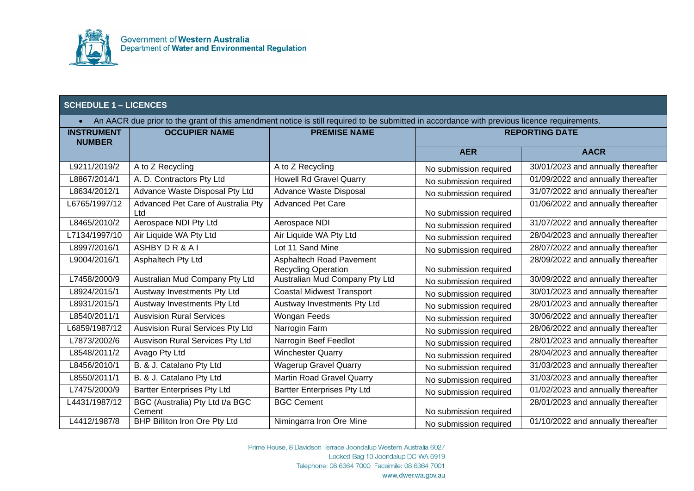

• An AACR due prior to the grant of this amendment notice is still required to be submitted in accordance with previous licence requirements.

| <b>INSTRUMENT</b><br><b>NUMBER</b> | <b>OCCUPIER NAME</b>                      | <b>PREMISE NAME</b>                                    | <b>REPORTING DATE</b>  |                                    |
|------------------------------------|-------------------------------------------|--------------------------------------------------------|------------------------|------------------------------------|
|                                    |                                           |                                                        | <b>AER</b>             | <b>AACR</b>                        |
| L9211/2019/2                       | A to Z Recycling                          | A to Z Recycling                                       | No submission required | 30/01/2023 and annually thereafter |
| L8867/2014/1                       | A. D. Contractors Pty Ltd                 | Howell Rd Gravel Quarry                                | No submission required | 01/09/2022 and annually thereafter |
| L8634/2012/1                       | Advance Waste Disposal Pty Ltd            | Advance Waste Disposal                                 | No submission required | 31/07/2022 and annually thereafter |
| L6765/1997/12                      | Advanced Pet Care of Australia Pty<br>Ltd | <b>Advanced Pet Care</b>                               | No submission required | 01/06/2022 and annually thereafter |
| L8465/2010/2                       | Aerospace NDI Pty Ltd                     | Aerospace NDI                                          | No submission required | 31/07/2022 and annually thereafter |
| L7134/1997/10                      | Air Liquide WA Pty Ltd                    | Air Liquide WA Pty Ltd                                 | No submission required | 28/04/2023 and annually thereafter |
| L8997/2016/1                       | ASHBY DR&AI                               | Lot 11 Sand Mine                                       | No submission required | 28/07/2022 and annually thereafter |
| L9004/2016/1                       | Asphaltech Pty Ltd                        | Asphaltech Road Pavement<br><b>Recycling Operation</b> | No submission required | 28/09/2022 and annually thereafter |
| L7458/2000/9                       | Australian Mud Company Pty Ltd            | Australian Mud Company Pty Ltd                         | No submission required | 30/09/2022 and annually thereafter |
| L8924/2015/1                       | Austway Investments Pty Ltd               | <b>Coastal Midwest Transport</b>                       | No submission required | 30/01/2023 and annually thereafter |
| L8931/2015/1                       | Austway Investments Pty Ltd               | Austway Investments Pty Ltd                            | No submission required | 28/01/2023 and annually thereafter |
| L8540/2011/1                       | <b>Ausvision Rural Services</b>           | Wongan Feeds                                           | No submission required | 30/06/2022 and annually thereafter |
| L6859/1987/12                      | Ausvision Rural Services Pty Ltd          | Narrogin Farm                                          | No submission required | 28/06/2022 and annually thereafter |
| L7873/2002/6                       | Ausvison Rural Services Pty Ltd           | Narrogin Beef Feedlot                                  | No submission required | 28/01/2023 and annually thereafter |
| L8548/2011/2                       | Avago Pty Ltd                             | <b>Winchester Quarry</b>                               | No submission required | 28/04/2023 and annually thereafter |
| L8456/2010/1                       | B. & J. Catalano Pty Ltd                  | <b>Wagerup Gravel Quarry</b>                           | No submission required | 31/03/2023 and annually thereafter |
| L8550/2011/1                       | B. & J. Catalano Pty Ltd                  | Martin Road Gravel Quarry                              | No submission required | 31/03/2023 and annually thereafter |
| L7475/2000/9                       | <b>Bartter Enterprises Pty Ltd</b>        | <b>Bartter Enterprises Pty Ltd</b>                     | No submission required | 01/02/2023 and annually thereafter |
| L4431/1987/12                      | BGC (Australia) Pty Ltd t/a BGC           | <b>BGC Cement</b>                                      |                        | 28/01/2023 and annually thereafter |
|                                    | Cement                                    |                                                        | No submission required |                                    |
| L4412/1987/8                       | BHP Billiton Iron Ore Pty Ltd             | Nimingarra Iron Ore Mine                               | No submission required | 01/10/2022 and annually thereafter |

Prime House, 8 Davidson Terrace Joondalup Western Australia 6027 Locked Bag 10 Joondalup DC WA 6919 Telephone: 08 6364 7000 Facsimile: 08 6364 7001 www.dwer.wa.gov.au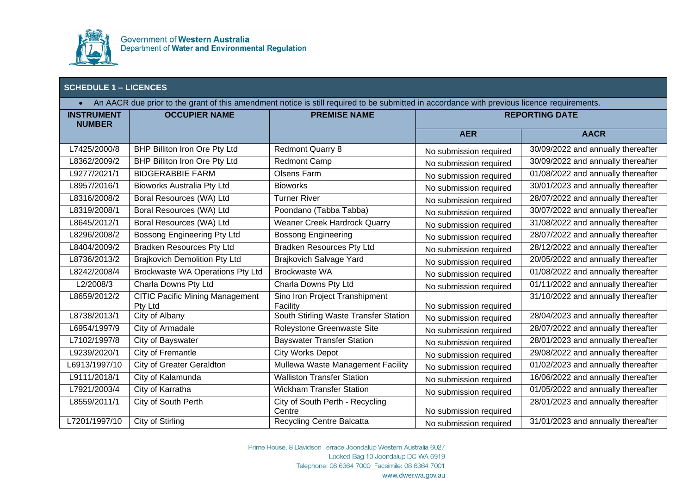

| An AACR due prior to the grant of this amendment notice is still required to be submitted in accordance with previous licence requirements.<br>$\bullet$ |                                        |                                                   |                        |                                    |
|----------------------------------------------------------------------------------------------------------------------------------------------------------|----------------------------------------|---------------------------------------------------|------------------------|------------------------------------|
| <b>INSTRUMENT</b>                                                                                                                                        | <b>OCCUPIER NAME</b>                   | <b>PREMISE NAME</b>                               | <b>REPORTING DATE</b>  |                                    |
| <b>NUMBER</b>                                                                                                                                            |                                        |                                                   | <b>AER</b>             | <b>AACR</b>                        |
| L7425/2000/8                                                                                                                                             | BHP Billiton Iron Ore Pty Ltd          | <b>Redmont Quarry 8</b>                           | No submission required | 30/09/2022 and annually thereafter |
| L8362/2009/2                                                                                                                                             | BHP Billiton Iron Ore Pty Ltd          | <b>Redmont Camp</b>                               | No submission required | 30/09/2022 and annually thereafter |
| L9277/2021/1                                                                                                                                             | <b>BIDGERABBIE FARM</b>                | <b>Olsens Farm</b>                                | No submission required | 01/08/2022 and annually thereafter |
| L8957/2016/1                                                                                                                                             | <b>Bioworks Australia Pty Ltd</b>      | <b>Bioworks</b>                                   | No submission required | 30/01/2023 and annually thereafter |
| L8316/2008/2                                                                                                                                             | Boral Resources (WA) Ltd               | <b>Turner River</b>                               | No submission required | 28/07/2022 and annually thereafter |
| L8319/2008/1                                                                                                                                             | Boral Resources (WA) Ltd               | Poondano (Tabba Tabba)                            | No submission required | 30/07/2022 and annually thereafter |
| L8645/2012/1                                                                                                                                             | Boral Resources (WA) Ltd               | Weaner Creek Hardrock Quarry                      | No submission required | 31/08/2022 and annually thereafter |
| L8296/2008/2                                                                                                                                             | Bossong Engineering Pty Ltd            | <b>Bossong Engineering</b>                        | No submission required | 28/07/2022 and annually thereafter |
| L8404/2009/2                                                                                                                                             | <b>Bradken Resources Pty Ltd</b>       | <b>Bradken Resources Pty Ltd</b>                  | No submission required | 28/12/2022 and annually thereafter |
| L8736/2013/2                                                                                                                                             | <b>Brajkovich Demolition Pty Ltd</b>   | Brajkovich Salvage Yard                           | No submission required | 20/05/2022 and annually thereafter |
| L8242/2008/4                                                                                                                                             | Brockwaste WA Operations Pty Ltd       | Brockwaste WA                                     | No submission required | 01/08/2022 and annually thereafter |
| L2/2008/3                                                                                                                                                | Charla Downs Pty Ltd                   | Charla Downs Pty Ltd                              | No submission required | 01/11/2022 and annually thereafter |
| L8659/2012/2                                                                                                                                             | <b>CITIC Pacific Mining Management</b> | Sino Iron Project Transhipment                    |                        | 31/10/2022 and annually thereafter |
| L8738/2013/1                                                                                                                                             | Pty Ltd<br>City of Albany              | Facility<br>South Stirling Waste Transfer Station | No submission required | 28/04/2023 and annually thereafter |
|                                                                                                                                                          |                                        |                                                   | No submission required |                                    |
| L6954/1997/9                                                                                                                                             | City of Armadale                       | Roleystone Greenwaste Site                        | No submission required | 28/07/2022 and annually thereafter |
| L7102/1997/8                                                                                                                                             | City of Bayswater                      | <b>Bayswater Transfer Station</b>                 | No submission required | 28/01/2023 and annually thereafter |
| L9239/2020/1                                                                                                                                             | City of Fremantle                      | <b>City Works Depot</b>                           | No submission required | 29/08/2022 and annually thereafter |
| L6913/1997/10                                                                                                                                            | <b>City of Greater Geraldton</b>       | Mullewa Waste Management Facility                 | No submission required | 01/02/2023 and annually thereafter |
| L9111/2018/1                                                                                                                                             | City of Kalamunda                      | <b>Walliston Transfer Station</b>                 | No submission required | 16/06/2022 and annually thereafter |
| L7921/2003/4                                                                                                                                             | City of Karratha                       | <b>Wickham Transfer Station</b>                   | No submission required | 01/05/2022 and annually thereafter |
| L8559/2011/1                                                                                                                                             | <b>City of South Perth</b>             | City of South Perth - Recycling                   |                        | 28/01/2023 and annually thereafter |
|                                                                                                                                                          |                                        | Centre                                            | No submission required |                                    |
| L7201/1997/10                                                                                                                                            | City of Stirling                       | <b>Recycling Centre Balcatta</b>                  | No submission required | 31/01/2023 and annually thereafter |

Prime House, 8 Davidson Terrace Joondalup Western Australia 6027 Locked Bag 10 Joondalup DC WA 6919 Telephone: 08 6364 7000 Facsimile: 08 6364 7001 www.dwer.wa.gov.au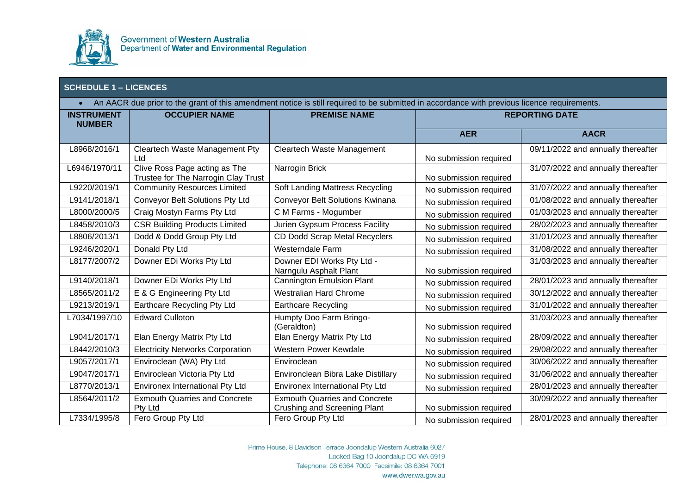

| An AACR due prior to the grant of this amendment notice is still required to be submitted in accordance with previous licence requirements.<br>$\bullet$ |                                                                      |                                                                      |                        |                                    |
|----------------------------------------------------------------------------------------------------------------------------------------------------------|----------------------------------------------------------------------|----------------------------------------------------------------------|------------------------|------------------------------------|
| <b>INSTRUMENT</b><br><b>NUMBER</b>                                                                                                                       | <b>OCCUPIER NAME</b>                                                 | <b>PREMISE NAME</b>                                                  | <b>REPORTING DATE</b>  |                                    |
|                                                                                                                                                          |                                                                      |                                                                      | <b>AER</b>             | <b>AACR</b>                        |
| L8968/2016/1                                                                                                                                             | Cleartech Waste Management Pty<br>Ltd                                | Cleartech Waste Management                                           | No submission required | 09/11/2022 and annually thereafter |
| L6946/1970/11                                                                                                                                            | Clive Ross Page acting as The<br>Trustee for The Narrogin Clay Trust | Narrogin Brick                                                       | No submission required | 31/07/2022 and annually thereafter |
| L9220/2019/1                                                                                                                                             | <b>Community Resources Limited</b>                                   | Soft Landing Mattress Recycling                                      | No submission required | 31/07/2022 and annually thereafter |
| L9141/2018/1                                                                                                                                             | Conveyor Belt Solutions Pty Ltd                                      | Conveyor Belt Solutions Kwinana                                      | No submission required | 01/08/2022 and annually thereafter |
| L8000/2000/5                                                                                                                                             | Craig Mostyn Farms Pty Ltd                                           | C M Farms - Mogumber                                                 | No submission required | 01/03/2023 and annually thereafter |
| L8458/2010/3                                                                                                                                             | <b>CSR Building Products Limited</b>                                 | Jurien Gypsum Process Facility                                       | No submission required | 28/02/2023 and annually thereafter |
| L8806/2013/1                                                                                                                                             | Dodd & Dodd Group Pty Ltd                                            | CD Dodd Scrap Metal Recyclers                                        | No submission required | 31/01/2023 and annually thereafter |
| L9246/2020/1                                                                                                                                             | Donald Pty Ltd                                                       | Westerndale Farm                                                     | No submission required | 31/08/2022 and annually thereafter |
| L8177/2007/2                                                                                                                                             | Downer EDi Works Pty Ltd                                             | Downer EDI Works Pty Ltd -<br>Narngulu Asphalt Plant                 | No submission required | 31/03/2023 and annually thereafter |
| L9140/2018/1                                                                                                                                             | Downer EDi Works Pty Ltd                                             | <b>Cannington Emulsion Plant</b>                                     | No submission required | 28/01/2023 and annually thereafter |
| L8565/2011/2                                                                                                                                             | E & G Engineering Pty Ltd                                            | <b>Westralian Hard Chrome</b>                                        | No submission required | 30/12/2022 and annually thereafter |
| L9213/2019/1                                                                                                                                             | Earthcare Recycling Pty Ltd                                          | <b>Earthcare Recycling</b>                                           | No submission required | 31/01/2022 and annually thereafter |
| L7034/1997/10                                                                                                                                            | <b>Edward Culloton</b>                                               | Humpty Doo Farm Bringo-<br>(Geraldton)                               | No submission required | 31/03/2023 and annually thereafter |
| L9041/2017/1                                                                                                                                             | Elan Energy Matrix Pty Ltd                                           | Elan Energy Matrix Pty Ltd                                           | No submission required | 28/09/2022 and annually thereafter |
| L8442/2010/3                                                                                                                                             | <b>Electricity Networks Corporation</b>                              | Western Power Kewdale                                                | No submission required | 29/08/2022 and annually thereafter |
| L9057/2017/1                                                                                                                                             | Enviroclean (WA) Pty Ltd                                             | Enviroclean                                                          | No submission required | 30/06/2022 and annually thereafter |
| L9047/2017/1                                                                                                                                             | Enviroclean Victoria Pty Ltd                                         | Environclean Bibra Lake Distillary                                   | No submission required | 31/06/2022 and annually thereafter |
| L8770/2013/1                                                                                                                                             | <b>Environex International Pty Ltd</b>                               | Environex International Pty Ltd                                      | No submission required | 28/01/2023 and annually thereafter |
| L8564/2011/2                                                                                                                                             | <b>Exmouth Quarries and Concrete</b><br>Pty Ltd                      | <b>Exmouth Quarries and Concrete</b><br>Crushing and Screening Plant | No submission required | 30/09/2022 and annually thereafter |
| L7334/1995/8                                                                                                                                             | Fero Group Pty Ltd                                                   | Fero Group Pty Ltd                                                   | No submission required | 28/01/2023 and annually thereafter |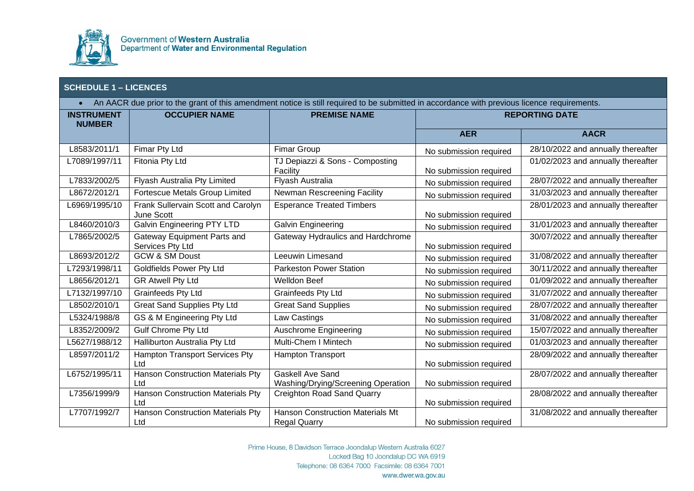

| An AACR due prior to the grant of this amendment notice is still required to be submitted in accordance with previous licence requirements.<br>$\bullet$ |                                                  |                                                                |                        |                                    |
|----------------------------------------------------------------------------------------------------------------------------------------------------------|--------------------------------------------------|----------------------------------------------------------------|------------------------|------------------------------------|
| <b>INSTRUMENT</b><br><b>NUMBER</b>                                                                                                                       | <b>OCCUPIER NAME</b>                             | <b>PREMISE NAME</b>                                            |                        | <b>REPORTING DATE</b>              |
|                                                                                                                                                          |                                                  |                                                                | <b>AER</b>             | <b>AACR</b>                        |
| L8583/2011/1                                                                                                                                             | Fimar Pty Ltd                                    | <b>Fimar Group</b>                                             | No submission required | 28/10/2022 and annually thereafter |
| L7089/1997/11                                                                                                                                            | Fitonia Pty Ltd                                  | TJ Depiazzi & Sons - Composting<br>Facility                    | No submission required | 01/02/2023 and annually thereafter |
| L7833/2002/5                                                                                                                                             | Flyash Australia Pty Limited                     | Flyash Australia                                               | No submission required | 28/07/2022 and annually thereafter |
| L8672/2012/1                                                                                                                                             | Fortescue Metals Group Limited                   | Newman Rescreening Facility                                    | No submission required | 31/03/2023 and annually thereafter |
| L6969/1995/10                                                                                                                                            | Frank Sullervain Scott and Carolyn<br>June Scott | <b>Esperance Treated Timbers</b>                               | No submission required | 28/01/2023 and annually thereafter |
| L8460/2010/3                                                                                                                                             | <b>Galvin Engineering PTY LTD</b>                | Galvin Engineering                                             | No submission required | 31/01/2023 and annually thereafter |
| L7865/2002/5                                                                                                                                             | Gateway Equipment Parts and<br>Services Pty Ltd  | Gateway Hydraulics and Hardchrome                              | No submission required | 30/07/2022 and annually thereafter |
| L8693/2012/2                                                                                                                                             | <b>GCW &amp; SM Doust</b>                        | Leeuwin Limesand                                               | No submission required | 31/08/2022 and annually thereafter |
| L7293/1998/11                                                                                                                                            | <b>Goldfields Power Pty Ltd</b>                  | <b>Parkeston Power Station</b>                                 | No submission required | 30/11/2022 and annually thereafter |
| L8656/2012/1                                                                                                                                             | <b>GR Atwell Pty Ltd</b>                         | <b>Welldon Beef</b>                                            | No submission required | 01/09/2022 and annually thereafter |
| L7132/1997/10                                                                                                                                            | <b>Grainfeeds Pty Ltd</b>                        | <b>Grainfeeds Pty Ltd</b>                                      | No submission required | 31/07/2022 and annually thereafter |
| L8502/2010/1                                                                                                                                             | <b>Great Sand Supplies Pty Ltd</b>               | <b>Great Sand Supplies</b>                                     | No submission required | 28/07/2022 and annually thereafter |
| L5324/1988/8                                                                                                                                             | GS & M Engineering Pty Ltd                       | Law Castings                                                   | No submission required | 31/08/2022 and annually thereafter |
| L8352/2009/2                                                                                                                                             | <b>Gulf Chrome Pty Ltd</b>                       | Auschrome Engineering                                          | No submission required | 15/07/2022 and annually thereafter |
| L5627/1988/12                                                                                                                                            | Halliburton Australia Pty Ltd                    | <b>Multi-Chem I Mintech</b>                                    | No submission required | 01/03/2023 and annually thereafter |
| L8597/2011/2                                                                                                                                             | <b>Hampton Transport Services Pty</b><br>Ltd     | <b>Hampton Transport</b>                                       | No submission required | 28/09/2022 and annually thereafter |
| L6752/1995/11                                                                                                                                            | <b>Hanson Construction Materials Pty</b><br>Ltd  | <b>Gaskell Ave Sand</b><br>Washing/Drying/Screening Operation  | No submission required | 28/07/2022 and annually thereafter |
| L7356/1999/9                                                                                                                                             | <b>Hanson Construction Materials Pty</b><br>Ltd  | <b>Creighton Road Sand Quarry</b>                              | No submission required | 28/08/2022 and annually thereafter |
| L7707/1992/7                                                                                                                                             | <b>Hanson Construction Materials Pty</b><br>Ltd  | <b>Hanson Construction Materials Mt</b><br><b>Regal Quarry</b> | No submission required | 31/08/2022 and annually thereafter |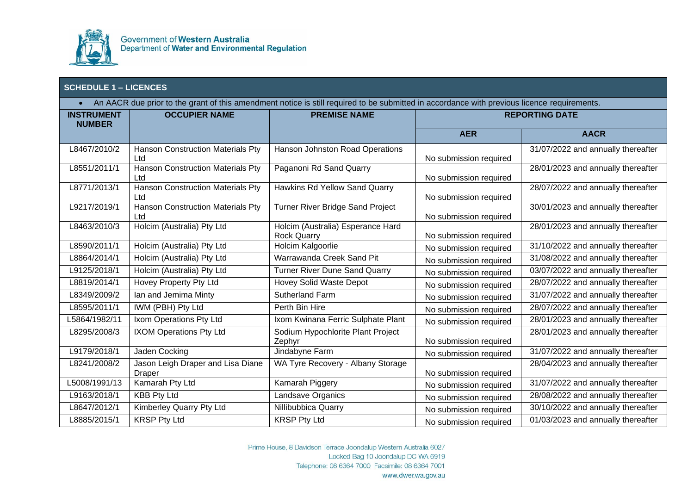

| An AACR due prior to the grant of this amendment notice is still required to be submitted in accordance with previous licence requirements.<br>$\bullet$ |                                                 |                                                         |                        |                                    |
|----------------------------------------------------------------------------------------------------------------------------------------------------------|-------------------------------------------------|---------------------------------------------------------|------------------------|------------------------------------|
| <b>INSTRUMENT</b><br><b>NUMBER</b>                                                                                                                       | <b>OCCUPIER NAME</b>                            | <b>PREMISE NAME</b>                                     | <b>REPORTING DATE</b>  |                                    |
|                                                                                                                                                          |                                                 |                                                         | <b>AER</b>             | <b>AACR</b>                        |
| L8467/2010/2                                                                                                                                             | <b>Hanson Construction Materials Pty</b><br>Ltd | Hanson Johnston Road Operations                         | No submission required | 31/07/2022 and annually thereafter |
| L8551/2011/1                                                                                                                                             | <b>Hanson Construction Materials Pty</b><br>Ltd | Paganoni Rd Sand Quarry                                 | No submission required | 28/01/2023 and annually thereafter |
| L8771/2013/1                                                                                                                                             | <b>Hanson Construction Materials Pty</b><br>Ltd | Hawkins Rd Yellow Sand Quarry                           | No submission required | 28/07/2022 and annually thereafter |
| L9217/2019/1                                                                                                                                             | <b>Hanson Construction Materials Pty</b><br>Ltd | Turner River Bridge Sand Project                        | No submission required | 30/01/2023 and annually thereafter |
| L8463/2010/3                                                                                                                                             | Holcim (Australia) Pty Ltd                      | Holcim (Australia) Esperance Hard<br><b>Rock Quarry</b> | No submission required | 28/01/2023 and annually thereafter |
| L8590/2011/1                                                                                                                                             | Holcim (Australia) Pty Ltd                      | Holcim Kalgoorlie                                       | No submission required | 31/10/2022 and annually thereafter |
| L8864/2014/1                                                                                                                                             | Holcim (Australia) Pty Ltd                      | Warrawanda Creek Sand Pit                               | No submission required | 31/08/2022 and annually thereafter |
| L9125/2018/1                                                                                                                                             | Holcim (Australia) Pty Ltd                      | <b>Turner River Dune Sand Quarry</b>                    | No submission required | 03/07/2022 and annually thereafter |
| L8819/2014/1                                                                                                                                             | Hovey Property Pty Ltd                          | Hovey Solid Waste Depot                                 | No submission required | 28/07/2022 and annually thereafter |
| L8349/2009/2                                                                                                                                             | lan and Jemima Minty                            | <b>Sutherland Farm</b>                                  | No submission required | 31/07/2022 and annually thereafter |
| L8595/2011/1                                                                                                                                             | IWM (PBH) Pty Ltd                               | Perth Bin Hire                                          | No submission required | 28/07/2022 and annually thereafter |
| L5864/1982/11                                                                                                                                            | Ixom Operations Pty Ltd                         | Ixom Kwinana Ferric Sulphate Plant                      | No submission required | 28/01/2023 and annually thereafter |
| L8295/2008/3                                                                                                                                             | <b>IXOM Operations Pty Ltd</b>                  | Sodium Hypochlorite Plant Project<br>Zephyr             | No submission required | 28/01/2023 and annually thereafter |
| L9179/2018/1                                                                                                                                             | Jaden Cocking                                   | Jindabyne Farm                                          | No submission required | 31/07/2022 and annually thereafter |
| L8241/2008/2                                                                                                                                             | Jason Leigh Draper and Lisa Diane<br>Draper     | WA Tyre Recovery - Albany Storage                       | No submission required | 28/04/2023 and annually thereafter |
| L5008/1991/13                                                                                                                                            | Kamarah Pty Ltd                                 | Kamarah Piggery                                         | No submission required | 31/07/2022 and annually thereafter |
| L9163/2018/1                                                                                                                                             | <b>KBB Pty Ltd</b>                              | Landsave Organics                                       | No submission required | 28/08/2022 and annually thereafter |
| L8647/2012/1                                                                                                                                             | Kimberley Quarry Pty Ltd                        | Nillibubbica Quarry                                     | No submission required | 30/10/2022 and annually thereafter |
| L8885/2015/1                                                                                                                                             | <b>KRSP Pty Ltd</b>                             | <b>KRSP Pty Ltd</b>                                     | No submission required | 01/03/2023 and annually thereafter |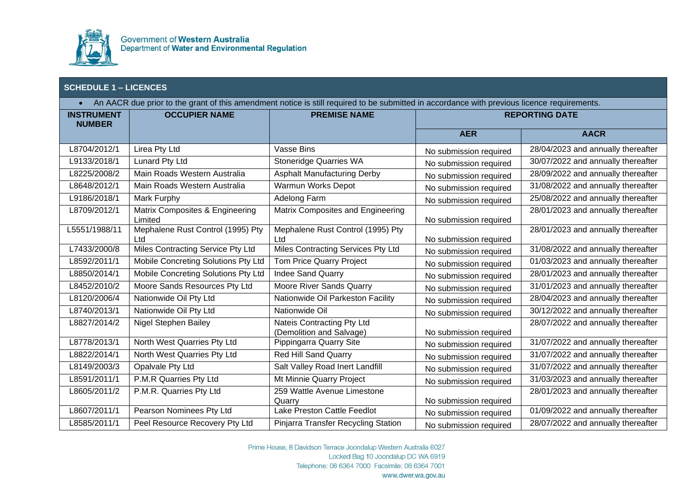

|                   | <b>SCHEDULE 1 - LICENCES</b>               |                                                                                                                                             |                        |                                    |  |
|-------------------|--------------------------------------------|---------------------------------------------------------------------------------------------------------------------------------------------|------------------------|------------------------------------|--|
| $\bullet$         |                                            | An AACR due prior to the grant of this amendment notice is still required to be submitted in accordance with previous licence requirements. |                        |                                    |  |
| <b>INSTRUMENT</b> | <b>OCCUPIER NAME</b>                       | <b>PREMISE NAME</b>                                                                                                                         |                        | <b>REPORTING DATE</b>              |  |
| <b>NUMBER</b>     |                                            |                                                                                                                                             | <b>AER</b>             | <b>AACR</b>                        |  |
| L8704/2012/1      | Lirea Pty Ltd                              | Vasse Bins                                                                                                                                  | No submission required | 28/04/2023 and annually thereafter |  |
| L9133/2018/1      | <b>Lunard Pty Ltd</b>                      | <b>Stoneridge Quarries WA</b>                                                                                                               | No submission required | 30/07/2022 and annually thereafter |  |
| L8225/2008/2      | Main Roads Western Australia               | <b>Asphalt Manufacturing Derby</b>                                                                                                          | No submission required | 28/09/2022 and annually thereafter |  |
| L8648/2012/1      | Main Roads Western Australia               | Warmun Works Depot                                                                                                                          | No submission required | 31/08/2022 and annually thereafter |  |
| L9186/2018/1      | Mark Furphy                                | Adelong Farm                                                                                                                                | No submission required | 25/08/2022 and annually thereafter |  |
| L8709/2012/1      | Matrix Composites & Engineering<br>Limited | Matrix Composites and Engineering                                                                                                           | No submission required | 28/01/2023 and annually thereafter |  |
| L5551/1988/11     | Mephalene Rust Control (1995) Pty<br>Ltd   | Mephalene Rust Control (1995) Pty<br>Ltd                                                                                                    | No submission required | 28/01/2023 and annually thereafter |  |
| L7433/2000/8      | Miles Contracting Service Pty Ltd          | Miles Contracting Services Pty Ltd                                                                                                          | No submission required | 31/08/2022 and annually thereafter |  |
| L8592/2011/1      | Mobile Concreting Solutions Pty Ltd        | Tom Price Quarry Project                                                                                                                    | No submission required | 01/03/2023 and annually thereafter |  |
| L8850/2014/1      | Mobile Concreting Solutions Pty Ltd        | <b>Indee Sand Quarry</b>                                                                                                                    | No submission required | 28/01/2023 and annually thereafter |  |
| L8452/2010/2      | Moore Sands Resources Pty Ltd              | Moore River Sands Quarry                                                                                                                    | No submission required | 31/01/2023 and annually thereafter |  |
| L8120/2006/4      | Nationwide Oil Pty Ltd                     | Nationwide Oil Parkeston Facility                                                                                                           | No submission required | 28/04/2023 and annually thereafter |  |
| L8740/2013/1      | Nationwide Oil Pty Ltd                     | Nationwide Oil                                                                                                                              | No submission required | 30/12/2022 and annually thereafter |  |
| L8827/2014/2      | Nigel Stephen Bailey                       | Nateis Contracting Pty Ltd<br>(Demolition and Salvage)                                                                                      | No submission required | 28/07/2022 and annually thereafter |  |
| L8778/2013/1      | North West Quarries Pty Ltd                | Pippingarra Quarry Site                                                                                                                     | No submission required | 31/07/2022 and annually thereafter |  |
| L8822/2014/1      | North West Quarries Pty Ltd                | <b>Red Hill Sand Quarry</b>                                                                                                                 | No submission required | 31/07/2022 and annually thereafter |  |
| L8149/2003/3      | Opalvale Pty Ltd                           | Salt Valley Road Inert Landfill                                                                                                             | No submission required | 31/07/2022 and annually thereafter |  |
| L8591/2011/1      | P.M.R Quarries Pty Ltd                     | Mt Minnie Quarry Project                                                                                                                    | No submission required | 31/03/2023 and annually thereafter |  |
| L8605/2011/2      | P.M.R. Quarries Pty Ltd                    | 259 Wattle Avenue Limestone<br>Quarry                                                                                                       | No submission required | 28/01/2023 and annually thereafter |  |

Prime House, 8 Davidson Terrace Joondalup Western Australia 6027 Locked Bag 10 Joondalup DC WA 6919 Telephone: 08 6364 7000 Facsimile: 08 6364 7001 www.dwer.wa.gov.au

L8607/2011/1 Pearson Nominees Pty Ltd Lake Preston Cattle Feedlot<br>L8585/2011/1 Peel Resource Recovery Pty Ltd Pinjarra Transfer Recycling Station No submission required 28/07/2022 and annually thereafter

Pinjarra Transfer Recycling Station No submission required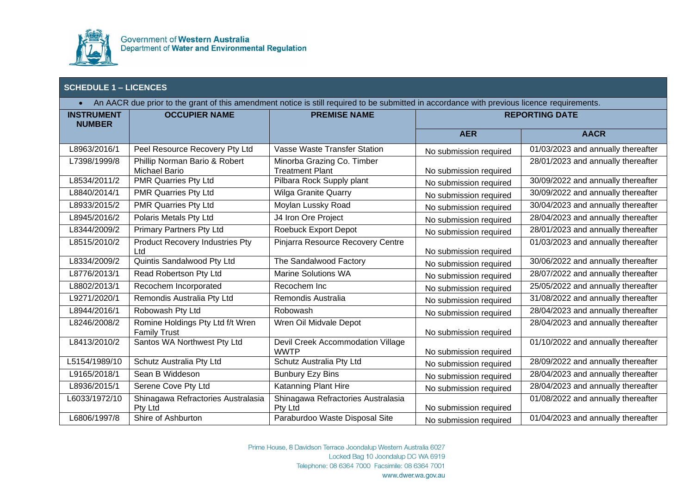

| An AACR due prior to the grant of this amendment notice is still required to be submitted in accordance with previous licence requirements.<br>$\bullet$ |                                                         |                                                      |                        |                                    |
|----------------------------------------------------------------------------------------------------------------------------------------------------------|---------------------------------------------------------|------------------------------------------------------|------------------------|------------------------------------|
| <b>INSTRUMENT</b><br><b>NUMBER</b>                                                                                                                       | <b>OCCUPIER NAME</b>                                    | <b>PREMISE NAME</b>                                  |                        | <b>REPORTING DATE</b>              |
|                                                                                                                                                          |                                                         |                                                      | <b>AER</b>             | <b>AACR</b>                        |
| L8963/2016/1                                                                                                                                             | Peel Resource Recovery Pty Ltd                          | <b>Vasse Waste Transfer Station</b>                  | No submission required | 01/03/2023 and annually thereafter |
| L7398/1999/8                                                                                                                                             | Phillip Norman Bario & Robert<br>Michael Bario          | Minorba Grazing Co. Timber<br><b>Treatment Plant</b> | No submission required | 28/01/2023 and annually thereafter |
| L8534/2011/2                                                                                                                                             | PMR Quarries Pty Ltd                                    | Pilbara Rock Supply plant                            | No submission required | 30/09/2022 and annually thereafter |
| L8840/2014/1                                                                                                                                             | <b>PMR Quarries Pty Ltd</b>                             | <b>Wilga Granite Quarry</b>                          | No submission required | 30/09/2022 and annually thereafter |
| L8933/2015/2                                                                                                                                             | <b>PMR Quarries Pty Ltd</b>                             | Moylan Lussky Road                                   | No submission required | 30/04/2023 and annually thereafter |
| L8945/2016/2                                                                                                                                             | Polaris Metals Pty Ltd                                  | J4 Iron Ore Project                                  | No submission required | 28/04/2023 and annually thereafter |
| L8344/2009/2                                                                                                                                             | <b>Primary Partners Pty Ltd</b>                         | <b>Roebuck Export Depot</b>                          | No submission required | 28/01/2023 and annually thereafter |
| L8515/2010/2                                                                                                                                             | <b>Product Recovery Industries Pty</b><br>Ltd           | Pinjarra Resource Recovery Centre                    | No submission required | 01/03/2023 and annually thereafter |
| L8334/2009/2                                                                                                                                             | Quintis Sandalwood Pty Ltd                              | The Sandalwood Factory                               | No submission required | 30/06/2022 and annually thereafter |
| L8776/2013/1                                                                                                                                             | Read Robertson Pty Ltd                                  | <b>Marine Solutions WA</b>                           | No submission required | 28/07/2022 and annually thereafter |
| L8802/2013/1                                                                                                                                             | Recochem Incorporated                                   | Recochem Inc                                         | No submission required | 25/05/2022 and annually thereafter |
| L9271/2020/1                                                                                                                                             | Remondis Australia Pty Ltd                              | Remondis Australia                                   | No submission required | 31/08/2022 and annually thereafter |
| L8944/2016/1                                                                                                                                             | Robowash Pty Ltd                                        | Robowash                                             | No submission required | 28/04/2023 and annually thereafter |
| L8246/2008/2                                                                                                                                             | Romine Holdings Pty Ltd f/t Wren<br><b>Family Trust</b> | Wren Oil Midvale Depot                               | No submission required | 28/04/2023 and annually thereafter |
| L8413/2010/2                                                                                                                                             | Santos WA Northwest Pty Ltd                             | Devil Creek Accommodation Village<br><b>WWTP</b>     | No submission required | 01/10/2022 and annually thereafter |
| L5154/1989/10                                                                                                                                            | Schutz Australia Pty Ltd                                | Schutz Australia Pty Ltd                             | No submission required | 28/09/2022 and annually thereafter |
| L9165/2018/1                                                                                                                                             | Sean B Widdeson                                         | <b>Bunbury Ezy Bins</b>                              | No submission required | 28/04/2023 and annually thereafter |
| L8936/2015/1                                                                                                                                             | Serene Cove Pty Ltd                                     | Katanning Plant Hire                                 | No submission required | 28/04/2023 and annually thereafter |
| L6033/1972/10                                                                                                                                            | Shinagawa Refractories Australasia<br>Pty Ltd           | Shinagawa Refractories Australasia<br>Pty Ltd        | No submission required | 01/08/2022 and annually thereafter |
| L6806/1997/8                                                                                                                                             | Shire of Ashburton                                      | Paraburdoo Waste Disposal Site                       | No submission required | 01/04/2023 and annually thereafter |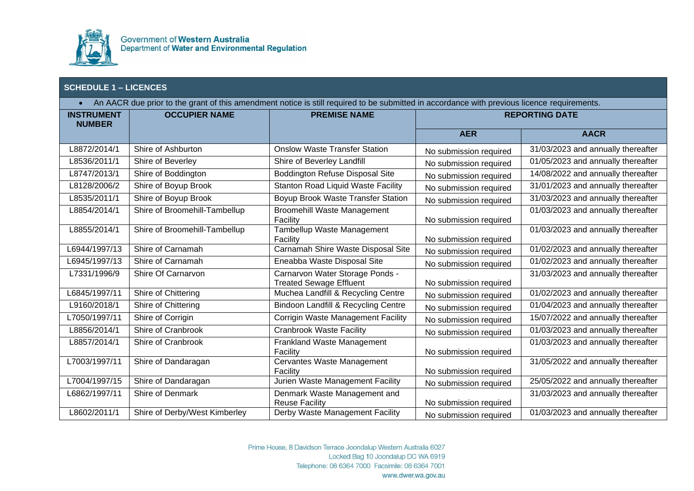

| An AACR due prior to the grant of this amendment notice is still required to be submitted in accordance with previous licence requirements.<br>$\bullet$ |                               |                                                                   |                        |                                    |
|----------------------------------------------------------------------------------------------------------------------------------------------------------|-------------------------------|-------------------------------------------------------------------|------------------------|------------------------------------|
| <b>INSTRUMENT</b><br><b>NUMBER</b>                                                                                                                       | <b>OCCUPIER NAME</b>          | <b>PREMISE NAME</b>                                               |                        | <b>REPORTING DATE</b>              |
|                                                                                                                                                          |                               |                                                                   | <b>AER</b>             | <b>AACR</b>                        |
| L8872/2014/1                                                                                                                                             | Shire of Ashburton            | <b>Onslow Waste Transfer Station</b>                              | No submission required | 31/03/2023 and annually thereafter |
| L8536/2011/1                                                                                                                                             | Shire of Beverley             | Shire of Beverley Landfill                                        | No submission required | 01/05/2023 and annually thereafter |
| L8747/2013/1                                                                                                                                             | Shire of Boddington           | <b>Boddington Refuse Disposal Site</b>                            | No submission required | 14/08/2022 and annually thereafter |
| L8128/2006/2                                                                                                                                             | Shire of Boyup Brook          | <b>Stanton Road Liquid Waste Facility</b>                         | No submission required | 31/01/2023 and annually thereafter |
| L8535/2011/1                                                                                                                                             | Shire of Boyup Brook          | Boyup Brook Waste Transfer Station                                | No submission required | 31/03/2023 and annually thereafter |
| L8854/2014/1                                                                                                                                             | Shire of Broomehill-Tambellup | <b>Broomehill Waste Management</b><br>Facility                    | No submission required | 01/03/2023 and annually thereafter |
| L8855/2014/1                                                                                                                                             | Shire of Broomehill-Tambellup | Tambellup Waste Management<br>Facility                            | No submission required | 01/03/2023 and annually thereafter |
| L6944/1997/13                                                                                                                                            | Shire of Carnamah             | Carnamah Shire Waste Disposal Site                                | No submission required | 01/02/2023 and annually thereafter |
| L6945/1997/13                                                                                                                                            | Shire of Carnamah             | Eneabba Waste Disposal Site                                       | No submission required | 01/02/2023 and annually thereafter |
| L7331/1996/9                                                                                                                                             | Shire Of Carnarvon            | Carnarvon Water Storage Ponds -<br><b>Treated Sewage Effluent</b> | No submission required | 31/03/2023 and annually thereafter |
| L6845/1997/11                                                                                                                                            | Shire of Chittering           | Muchea Landfill & Recycling Centre                                | No submission required | 01/02/2023 and annually thereafter |
| L9160/2018/1                                                                                                                                             | Shire of Chittering           | Bindoon Landfill & Recycling Centre                               | No submission required | 01/04/2023 and annually thereafter |
| L7050/1997/11                                                                                                                                            | Shire of Corrigin             | <b>Corrigin Waste Management Facility</b>                         | No submission required | 15/07/2022 and annually thereafter |
| L8856/2014/1                                                                                                                                             | Shire of Cranbrook            | <b>Cranbrook Waste Facility</b>                                   | No submission required | 01/03/2023 and annually thereafter |
| L8857/2014/1                                                                                                                                             | Shire of Cranbrook            | Frankland Waste Management<br>Facility                            | No submission required | 01/03/2023 and annually thereafter |
| L7003/1997/11                                                                                                                                            | Shire of Dandaragan           | Cervantes Waste Management<br>Facility                            | No submission required | 31/05/2022 and annually thereafter |
| L7004/1997/15                                                                                                                                            | Shire of Dandaragan           | Jurien Waste Management Facility                                  | No submission required | 25/05/2022 and annually thereafter |
| L6862/1997/11                                                                                                                                            | Shire of Denmark              | Denmark Waste Management and<br><b>Reuse Facility</b>             | No submission required | 31/03/2023 and annually thereafter |
| L8602/2011/1                                                                                                                                             | Shire of Derby/West Kimberley | Derby Waste Management Facility                                   | No submission required | 01/03/2023 and annually thereafter |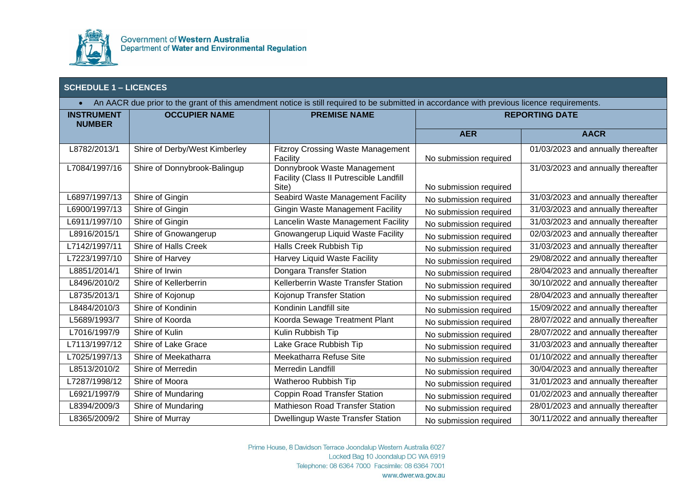

| An AACR due prior to the grant of this amendment notice is still required to be submitted in accordance with previous licence requirements.<br>$\bullet$ |                               |                                                                                 |                        |                                    |
|----------------------------------------------------------------------------------------------------------------------------------------------------------|-------------------------------|---------------------------------------------------------------------------------|------------------------|------------------------------------|
| <b>INSTRUMENT</b><br><b>NUMBER</b>                                                                                                                       | <b>OCCUPIER NAME</b>          | <b>PREMISE NAME</b>                                                             | <b>REPORTING DATE</b>  |                                    |
|                                                                                                                                                          |                               |                                                                                 | <b>AER</b>             | <b>AACR</b>                        |
| L8782/2013/1                                                                                                                                             | Shire of Derby/West Kimberley | <b>Fitzroy Crossing Waste Management</b><br>Facility                            | No submission required | 01/03/2023 and annually thereafter |
| L7084/1997/16                                                                                                                                            | Shire of Donnybrook-Balingup  | Donnybrook Waste Management<br>Facility (Class II Putrescible Landfill<br>Site) | No submission required | 31/03/2023 and annually thereafter |
| L6897/1997/13                                                                                                                                            | Shire of Gingin               | Seabird Waste Management Facility                                               | No submission required | 31/03/2023 and annually thereafter |
| L6900/1997/13                                                                                                                                            | Shire of Gingin               | <b>Gingin Waste Management Facility</b>                                         | No submission required | 31/03/2023 and annually thereafter |
| L6911/1997/10                                                                                                                                            | Shire of Gingin               | Lancelin Waste Management Facility                                              | No submission required | 31/03/2023 and annually thereafter |
| L8916/2015/1                                                                                                                                             | Shire of Gnowangerup          | <b>Gnowangerup Liquid Waste Facility</b>                                        | No submission required | 02/03/2023 and annually thereafter |
| L7142/1997/11                                                                                                                                            | Shire of Halls Creek          | Halls Creek Rubbish Tip                                                         | No submission required | 31/03/2023 and annually thereafter |
| L7223/1997/10                                                                                                                                            | Shire of Harvey               | Harvey Liquid Waste Facility                                                    | No submission required | 29/08/2022 and annually thereafter |
| L8851/2014/1                                                                                                                                             | Shire of Irwin                | Dongara Transfer Station                                                        | No submission required | 28/04/2023 and annually thereafter |
| L8496/2010/2                                                                                                                                             | Shire of Kellerberrin         | Kellerberrin Waste Transfer Station                                             | No submission required | 30/10/2022 and annually thereafter |
| L8735/2013/1                                                                                                                                             | Shire of Kojonup              | Kojonup Transfer Station                                                        | No submission required | 28/04/2023 and annually thereafter |
| L8484/2010/3                                                                                                                                             | Shire of Kondinin             | Kondinin Landfill site                                                          | No submission required | 15/09/2022 and annually thereafter |
| L5689/1993/7                                                                                                                                             | Shire of Koorda               | Koorda Sewage Treatment Plant                                                   | No submission required | 28/07/2022 and annually thereafter |
| L7016/1997/9                                                                                                                                             | Shire of Kulin                | Kulin Rubbish Tip                                                               | No submission required | 28/07/2022 and annually thereafter |
| L7113/1997/12                                                                                                                                            | Shire of Lake Grace           | Lake Grace Rubbish Tip                                                          | No submission required | 31/03/2023 and annually thereafter |
| L7025/1997/13                                                                                                                                            | Shire of Meekatharra          | Meekatharra Refuse Site                                                         | No submission required | 01/10/2022 and annually thereafter |
| L8513/2010/2                                                                                                                                             | Shire of Merredin             | Merredin Landfill                                                               | No submission required | 30/04/2023 and annually thereafter |
| L7287/1998/12                                                                                                                                            | Shire of Moora                | Watheroo Rubbish Tip                                                            | No submission required | 31/01/2023 and annually thereafter |
| L6921/1997/9                                                                                                                                             | Shire of Mundaring            | Coppin Road Transfer Station                                                    | No submission required | 01/02/2023 and annually thereafter |
| L8394/2009/3                                                                                                                                             | Shire of Mundaring            | Mathieson Road Transfer Station                                                 | No submission required | 28/01/2023 and annually thereafter |
| L8365/2009/2                                                                                                                                             | Shire of Murray               | Dwellingup Waste Transfer Station                                               | No submission required | 30/11/2022 and annually thereafter |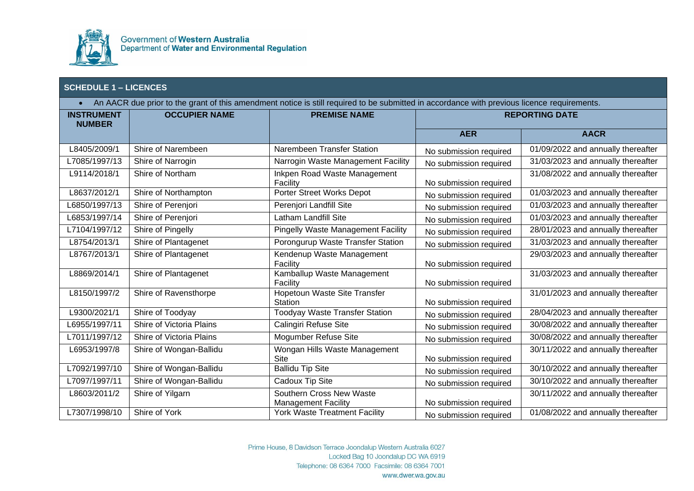

| An AACR due prior to the grant of this amendment notice is still required to be submitted in accordance with previous licence requirements.<br>$\bullet$ |                          |                                           |                        |                                    |
|----------------------------------------------------------------------------------------------------------------------------------------------------------|--------------------------|-------------------------------------------|------------------------|------------------------------------|
| <b>INSTRUMENT</b><br><b>NUMBER</b>                                                                                                                       | <b>OCCUPIER NAME</b>     | <b>PREMISE NAME</b>                       | <b>REPORTING DATE</b>  |                                    |
|                                                                                                                                                          |                          |                                           | <b>AER</b>             | <b>AACR</b>                        |
| L8405/2009/1                                                                                                                                             | Shire of Narembeen       | Narembeen Transfer Station                | No submission required | 01/09/2022 and annually thereafter |
| L7085/1997/13                                                                                                                                            | Shire of Narrogin        | Narrogin Waste Management Facility        | No submission required | 31/03/2023 and annually thereafter |
| L9114/2018/1                                                                                                                                             | Shire of Northam         | Inkpen Road Waste Management<br>Facility  | No submission required | 31/08/2022 and annually thereafter |
| L8637/2012/1                                                                                                                                             | Shire of Northampton     | Porter Street Works Depot                 | No submission required | 01/03/2023 and annually thereafter |
| L6850/1997/13                                                                                                                                            | Shire of Perenjori       | Perenjori Landfill Site                   | No submission required | 01/03/2023 and annually thereafter |
| L6853/1997/14                                                                                                                                            | Shire of Perenjori       | <b>Latham Landfill Site</b>               | No submission required | 01/03/2023 and annually thereafter |
| L7104/1997/12                                                                                                                                            | Shire of Pingelly        | <b>Pingelly Waste Management Facility</b> | No submission required | 28/01/2023 and annually thereafter |
| L8754/2013/1                                                                                                                                             | Shire of Plantagenet     | Porongurup Waste Transfer Station         | No submission required | 31/03/2023 and annually thereafter |
| L8767/2013/1                                                                                                                                             | Shire of Plantagenet     | Kendenup Waste Management                 |                        | 29/03/2023 and annually thereafter |
|                                                                                                                                                          |                          | Facility                                  | No submission required |                                    |
| L8869/2014/1                                                                                                                                             | Shire of Plantagenet     | Kamballup Waste Management<br>Facility    | No submission required | 31/03/2023 and annually thereafter |
| L8150/1997/2                                                                                                                                             | Shire of Ravensthorpe    | Hopetoun Waste Site Transfer              |                        | 31/01/2023 and annually thereafter |
|                                                                                                                                                          |                          | <b>Station</b>                            | No submission required |                                    |
| L9300/2021/1                                                                                                                                             | Shire of Toodyay         | <b>Toodyay Waste Transfer Station</b>     | No submission required | 28/04/2023 and annually thereafter |
| L6955/1997/11                                                                                                                                            | Shire of Victoria Plains | Calingiri Refuse Site                     | No submission required | 30/08/2022 and annually thereafter |
| L7011/1997/12                                                                                                                                            | Shire of Victoria Plains | Mogumber Refuse Site                      | No submission required | 30/08/2022 and annually thereafter |
| L6953/1997/8                                                                                                                                             | Shire of Wongan-Ballidu  | Wongan Hills Waste Management             |                        | 30/11/2022 and annually thereafter |
|                                                                                                                                                          |                          | Site                                      | No submission required |                                    |
| L7092/1997/10                                                                                                                                            | Shire of Wongan-Ballidu  | <b>Ballidu Tip Site</b>                   | No submission required | 30/10/2022 and annually thereafter |
| L7097/1997/11                                                                                                                                            | Shire of Wongan-Ballidu  | Cadoux Tip Site                           | No submission required | 30/10/2022 and annually thereafter |
| L8603/2011/2                                                                                                                                             | Shire of Yilgarn         | Southern Cross New Waste                  |                        | 30/11/2022 and annually thereafter |
|                                                                                                                                                          |                          | <b>Management Facility</b>                | No submission required |                                    |
| L7307/1998/10                                                                                                                                            | Shire of York            | York Waste Treatment Facility             | No submission required | 01/08/2022 and annually thereafter |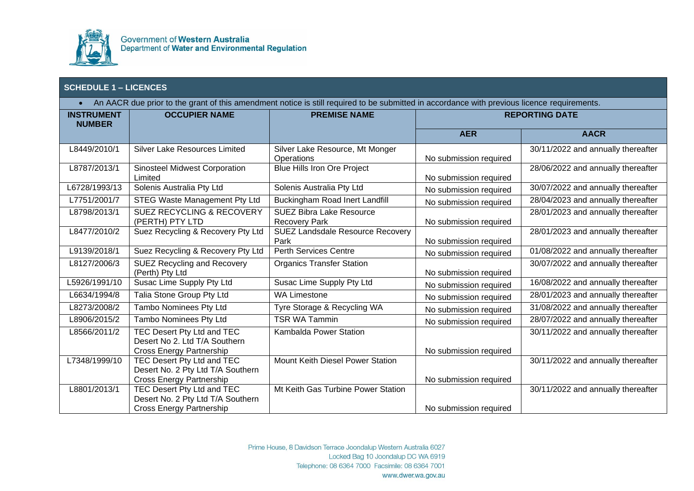

| An AACR due prior to the grant of this amendment notice is still required to be submitted in accordance with previous licence requirements.<br>$\bullet$ |                                                                                                    |                                                         |                        |                                    |
|----------------------------------------------------------------------------------------------------------------------------------------------------------|----------------------------------------------------------------------------------------------------|---------------------------------------------------------|------------------------|------------------------------------|
| <b>INSTRUMENT</b><br><b>NUMBER</b>                                                                                                                       | <b>OCCUPIER NAME</b>                                                                               | <b>PREMISE NAME</b>                                     |                        | <b>REPORTING DATE</b>              |
|                                                                                                                                                          |                                                                                                    |                                                         | <b>AER</b>             | <b>AACR</b>                        |
| L8449/2010/1                                                                                                                                             | <b>Silver Lake Resources Limited</b>                                                               | Silver Lake Resource, Mt Monger<br>Operations           | No submission required | 30/11/2022 and annually thereafter |
| L8787/2013/1                                                                                                                                             | <b>Sinosteel Midwest Corporation</b><br>Limited                                                    | Blue Hills Iron Ore Project                             | No submission required | 28/06/2022 and annually thereafter |
| L6728/1993/13                                                                                                                                            | Solenis Australia Pty Ltd                                                                          | Solenis Australia Pty Ltd                               | No submission required | 30/07/2022 and annually thereafter |
| L7751/2001/7                                                                                                                                             | <b>STEG Waste Management Pty Ltd</b>                                                               | <b>Buckingham Road Inert Landfill</b>                   | No submission required | 28/04/2023 and annually thereafter |
| L8798/2013/1                                                                                                                                             | <b>SUEZ RECYCLING &amp; RECOVERY</b><br>(PERTH) PTY LTD                                            | <b>SUEZ Bibra Lake Resource</b><br><b>Recovery Park</b> | No submission required | 28/01/2023 and annually thereafter |
| L8477/2010/2                                                                                                                                             | Suez Recycling & Recovery Pty Ltd                                                                  | <b>SUEZ Landsdale Resource Recovery</b><br>Park         | No submission required | 28/01/2023 and annually thereafter |
| L9139/2018/1                                                                                                                                             | Suez Recycling & Recovery Pty Ltd                                                                  | <b>Perth Services Centre</b>                            | No submission required | 01/08/2022 and annually thereafter |
| L8127/2006/3                                                                                                                                             | <b>SUEZ Recycling and Recovery</b><br>(Perth) Pty Ltd                                              | <b>Organics Transfer Station</b>                        | No submission required | 30/07/2022 and annually thereafter |
| L5926/1991/10                                                                                                                                            | Susac Lime Supply Pty Ltd                                                                          | Susac Lime Supply Pty Ltd                               | No submission required | 16/08/2022 and annually thereafter |
| L6634/1994/8                                                                                                                                             | Talia Stone Group Pty Ltd                                                                          | <b>WA Limestone</b>                                     | No submission required | 28/01/2023 and annually thereafter |
| L8273/2008/2                                                                                                                                             | Tambo Nominees Pty Ltd                                                                             | Tyre Storage & Recycling WA                             | No submission required | 31/08/2022 and annually thereafter |
| L8906/2015/2                                                                                                                                             | Tambo Nominees Pty Ltd                                                                             | <b>TSR WA Tammin</b>                                    | No submission required | 28/07/2022 and annually thereafter |
| L8566/2011/2                                                                                                                                             | TEC Desert Pty Ltd and TEC<br>Desert No 2. Ltd T/A Southern<br>Cross Energy Partnership            | Kambalda Power Station                                  | No submission required | 30/11/2022 and annually thereafter |
| L7348/1999/10                                                                                                                                            | TEC Desert Pty Ltd and TEC<br>Desert No. 2 Pty Ltd T/A Southern                                    | Mount Keith Diesel Power Station                        |                        | 30/11/2022 and annually thereafter |
|                                                                                                                                                          | <b>Cross Energy Partnership</b>                                                                    |                                                         | No submission required |                                    |
| L8801/2013/1                                                                                                                                             | TEC Desert Pty Ltd and TEC<br>Desert No. 2 Pty Ltd T/A Southern<br><b>Cross Energy Partnership</b> | Mt Keith Gas Turbine Power Station                      | No submission required | 30/11/2022 and annually thereafter |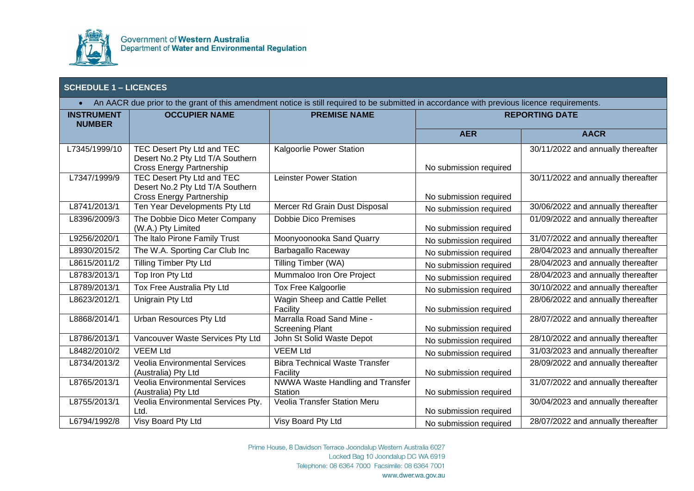

| An AACR due prior to the grant of this amendment notice is still required to be submitted in accordance with previous licence requirements.<br>$\bullet$ |                                                                                                          |                                                     |                        |                                    |
|----------------------------------------------------------------------------------------------------------------------------------------------------------|----------------------------------------------------------------------------------------------------------|-----------------------------------------------------|------------------------|------------------------------------|
| <b>INSTRUMENT</b><br><b>NUMBER</b>                                                                                                                       | <b>OCCUPIER NAME</b>                                                                                     | <b>PREMISE NAME</b>                                 |                        | <b>REPORTING DATE</b>              |
|                                                                                                                                                          |                                                                                                          |                                                     | <b>AER</b>             | <b>AACR</b>                        |
| L7345/1999/10                                                                                                                                            | TEC Desert Pty Ltd and TEC<br>Desert No.2 Pty Ltd T/A Southern<br><b>Cross Energy Partnership</b>        | Kalgoorlie Power Station                            | No submission required | 30/11/2022 and annually thereafter |
| L7347/1999/9                                                                                                                                             | <b>TEC Desert Pty Ltd and TEC</b><br>Desert No.2 Pty Ltd T/A Southern<br><b>Cross Energy Partnership</b> | Leinster Power Station                              | No submission required | 30/11/2022 and annually thereafter |
| L8741/2013/1                                                                                                                                             | Ten Year Developments Pty Ltd                                                                            | Mercer Rd Grain Dust Disposal                       | No submission required | 30/06/2022 and annually thereafter |
| L8396/2009/3                                                                                                                                             | The Dobbie Dico Meter Company<br>(W.A.) Pty Limited                                                      | <b>Dobbie Dico Premises</b>                         | No submission required | 01/09/2022 and annually thereafter |
| L9256/2020/1                                                                                                                                             | The Italo Pirone Family Trust                                                                            | Moonyoonooka Sand Quarry                            | No submission required | 31/07/2022 and annually thereafter |
| L8930/2015/2                                                                                                                                             | The W.A. Sporting Car Club Inc                                                                           | <b>Barbagallo Raceway</b>                           | No submission required | 28/04/2023 and annually thereafter |
| L8615/2011/2                                                                                                                                             | Tilling Timber Pty Ltd                                                                                   | Tilling Timber (WA)                                 | No submission required | 28/04/2023 and annually thereafter |
| L8783/2013/1                                                                                                                                             | Top Iron Pty Ltd                                                                                         | Mummaloo Iron Ore Project                           | No submission required | 28/04/2023 and annually thereafter |
| L8789/2013/1                                                                                                                                             | Tox Free Australia Pty Ltd                                                                               | <b>Tox Free Kalgoorlie</b>                          | No submission required | 30/10/2022 and annually thereafter |
| L8623/2012/1                                                                                                                                             | Unigrain Pty Ltd                                                                                         | Wagin Sheep and Cattle Pellet<br>Facility           | No submission required | 28/06/2022 and annually thereafter |
| L8868/2014/1                                                                                                                                             | Urban Resources Pty Ltd                                                                                  | Marralla Road Sand Mine -<br><b>Screening Plant</b> | No submission required | 28/07/2022 and annually thereafter |
| L8786/2013/1                                                                                                                                             | Vancouver Waste Services Pty Ltd                                                                         | John St Solid Waste Depot                           | No submission required | 28/10/2022 and annually thereafter |
| L8482/2010/2                                                                                                                                             | <b>VEEM Ltd</b>                                                                                          | <b>VEEM Ltd</b>                                     | No submission required | 31/03/2023 and annually thereafter |
| L8734/2013/2                                                                                                                                             | <b>Veolia Environmental Services</b><br>(Australia) Pty Ltd                                              | <b>Bibra Technical Waste Transfer</b><br>Facility   | No submission required | 28/09/2022 and annually thereafter |
| L8765/2013/1                                                                                                                                             | <b>Veolia Environmental Services</b><br>(Australia) Pty Ltd                                              | NWWA Waste Handling and Transfer<br><b>Station</b>  | No submission required | 31/07/2022 and annually thereafter |
| L8755/2013/1                                                                                                                                             | Veolia Environmental Services Pty.<br>Ltd.                                                               | Veolia Transfer Station Meru                        | No submission required | 30/04/2023 and annually thereafter |
| L6794/1992/8                                                                                                                                             | Visy Board Pty Ltd                                                                                       | Visy Board Pty Ltd                                  | No submission required | 28/07/2022 and annually thereafter |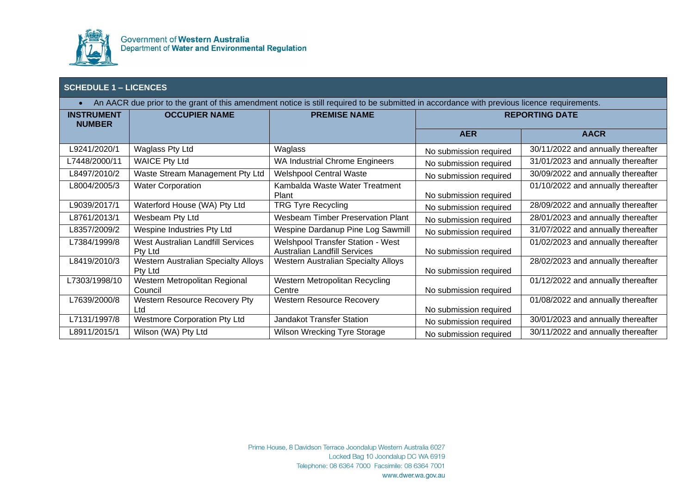

 $\mathcal{L}_{\mathcal{A}}$ 

|  |  | An AACR due prior to the grant of this amendment notice is still required to be submitted in accordance with previous licence requirements. |  |
|--|--|---------------------------------------------------------------------------------------------------------------------------------------------|--|
|  |  |                                                                                                                                             |  |

| <b>INSTRUMENT</b><br><b>NUMBER</b> | <b>OCCUPIER NAME</b>                                  | <b>PREMISE NAME</b>                                                             | <b>REPORTING DATE</b>  |                                    |
|------------------------------------|-------------------------------------------------------|---------------------------------------------------------------------------------|------------------------|------------------------------------|
|                                    |                                                       |                                                                                 | <b>AER</b>             | <b>AACR</b>                        |
| L9241/2020/1                       | Waglass Pty Ltd                                       | Waglass                                                                         | No submission required | 30/11/2022 and annually thereafter |
| L7448/2000/11                      | <b>WAICE Pty Ltd</b>                                  | <b>WA Industrial Chrome Engineers</b>                                           | No submission required | 31/01/2023 and annually thereafter |
| L8497/2010/2                       | Waste Stream Management Pty Ltd                       | <b>Welshpool Central Waste</b>                                                  | No submission required | 30/09/2022 and annually thereafter |
| L8004/2005/3                       | <b>Water Corporation</b>                              | Kambalda Waste Water Treatment<br>Plant                                         | No submission required | 01/10/2022 and annually thereafter |
| L9039/2017/1                       | Waterford House (WA) Pty Ltd                          | <b>TRG Tyre Recycling</b>                                                       | No submission required | 28/09/2022 and annually thereafter |
| L8761/2013/1                       | Wesbeam Pty Ltd                                       | <b>Wesbeam Timber Preservation Plant</b>                                        | No submission required | 28/01/2023 and annually thereafter |
| L8357/2009/2                       | Wespine Industries Pty Ltd                            | Wespine Dardanup Pine Log Sawmill                                               | No submission required | 31/07/2022 and annually thereafter |
| L7384/1999/8                       | West Australian Landfill Services<br>Pty Ltd          | <b>Welshpool Transfer Station - West</b><br><b>Australian Landfill Services</b> | No submission required | 01/02/2023 and annually thereafter |
| L8419/2010/3                       | <b>Western Australian Specialty Alloys</b><br>Pty Ltd | <b>Western Australian Specialty Alloys</b>                                      | No submission required | 28/02/2023 and annually thereafter |
| L7303/1998/10                      | Western Metropolitan Regional<br>Council              | Western Metropolitan Recycling<br>Centre                                        | No submission required | 01/12/2022 and annually thereafter |
| L7639/2000/8                       | Western Resource Recovery Pty<br>Ltd                  | <b>Western Resource Recovery</b>                                                | No submission required | 01/08/2022 and annually thereafter |
| L7131/1997/8                       | <b>Westmore Corporation Pty Ltd</b>                   | <b>Jandakot Transfer Station</b>                                                | No submission required | 30/01/2023 and annually thereafter |
| L8911/2015/1                       | Wilson (WA) Pty Ltd                                   | Wilson Wrecking Tyre Storage                                                    | No submission required | 30/11/2022 and annually thereafter |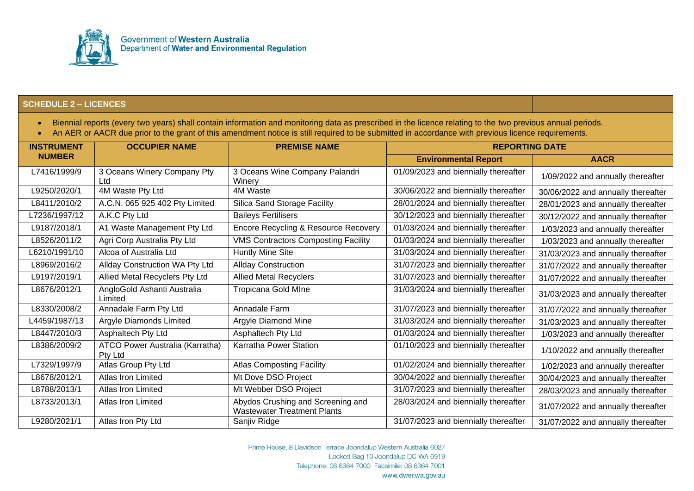

- Biennial reports (every two years) shall contain information and monitoring data as prescribed in the licence relating to the two previous annual periods.
- An AER or AACR due prior to the grant of this amendment notice is still required to be submitted in accordance with previous licence requirements.

| <b>INSTRUMENT</b> | <b>OCCUPIER NAME</b>                       | <b>PREMISE NAME</b>                                                     | <b>REPORTING DATE</b>                |                                    |
|-------------------|--------------------------------------------|-------------------------------------------------------------------------|--------------------------------------|------------------------------------|
| <b>NUMBER</b>     |                                            |                                                                         | <b>Environmental Report</b>          | <b>AACR</b>                        |
| L7416/1999/9      | 3 Oceans Winery Company Pty<br>Ltd         | 3 Oceans Wine Company Palandri<br>Winery                                | 01/09/2023 and biennially thereafter | 1/09/2022 and annually thereafter  |
| L9250/2020/1      | 4M Waste Pty Ltd                           | 4M Waste                                                                | 30/06/2022 and biennially thereafter | 30/06/2022 and annually thereafter |
| L8411/2010/2      | A.C.N. 065 925 402 Pty Limited             | Silica Sand Storage Facility                                            | 28/01/2024 and biennially thereafter | 28/01/2023 and annually thereafter |
| L7236/1997/12     | A.K.C Pty Ltd                              | <b>Baileys Fertilisers</b>                                              | 30/12/2023 and biennially thereafter | 30/12/2022 and annually thereafter |
| L9187/2018/1      | A1 Waste Management Pty Ltd                | Encore Recycling & Resource Recovery                                    | 01/03/2024 and biennially thereafter | 1/03/2023 and annually thereafter  |
| L8526/2011/2      | Agri Corp Australia Pty Ltd                | <b>VMS Contractors Composting Facility</b>                              | 01/03/2024 and biennially thereafter | 1/03/2023 and annually thereafter  |
| L6210/1991/10     | Alcoa of Australia Ltd                     | <b>Huntly Mine Site</b>                                                 | 31/03/2024 and biennially thereafter | 31/03/2023 and annually thereafter |
| L8969/2016/2      | Allday Construction WA Pty Ltd             | <b>Allday Construction</b>                                              | 31/07/2023 and biennially thereafter | 31/07/2022 and annually thereafter |
| L9197/2019/1      | Allied Metal Recyclers Pty Ltd             | <b>Allied Metal Recyclers</b>                                           | 31/07/2023 and biennially thereafter | 31/07/2022 and annually thereafter |
| L8676/2012/1      | AngloGold Ashanti Australia<br>Limited     | Tropicana Gold MIne                                                     | 31/03/2024 and biennially thereafter | 31/03/2023 and annually thereafter |
| L8330/2008/2      | Annadale Farm Pty Ltd                      | Annadale Farm                                                           | 31/07/2023 and biennially thereafter | 31/07/2022 and annually thereafter |
| L4459/1987/13     | Argyle Diamonds Limited                    | Argyle Diamond Mine                                                     | 31/03/2024 and biennially thereafter | 31/03/2023 and annually thereafter |
| L8447/2010/3      | Asphaltech Pty Ltd                         | Asphaltech Pty Ltd                                                      | 01/03/2024 and biennially thereafter | 1/03/2023 and annually thereafter  |
| L8386/2009/2      | ATCO Power Australia (Karratha)<br>Pty Ltd | Karratha Power Station                                                  | 01/10/2023 and biennially thereafter | 1/10/2022 and annually thereafter  |
| L7329/1997/9      | Atlas Group Pty Ltd                        | <b>Atlas Composting Facility</b>                                        | 01/02/2024 and biennially thereafter | 1/02/2023 and annually thereafter  |
| L8678/2012/1      | Atlas Iron Limited                         | Mt Dove DSO Project                                                     | 30/04/2022 and biennially thereafter | 30/04/2023 and annually thereafter |
| L8788/2013/1      | Atlas Iron Limited                         | Mt Webber DSO Project                                                   | 31/07/2023 and biennially thereafter | 28/03/2023 and annually thereafter |
| L8733/2013/1      | Atlas Iron Limited                         | Abydos Crushing and Screening and<br><b>Wastewater Treatment Plants</b> | 28/03/2024 and biennially thereafter | 31/07/2022 and annually thereafter |
| L9280/2021/1      | Atlas Iron Pty Ltd                         | Sanjiv Ridge                                                            | 31/07/2023 and biennially thereafter | 31/07/2022 and annually thereafter |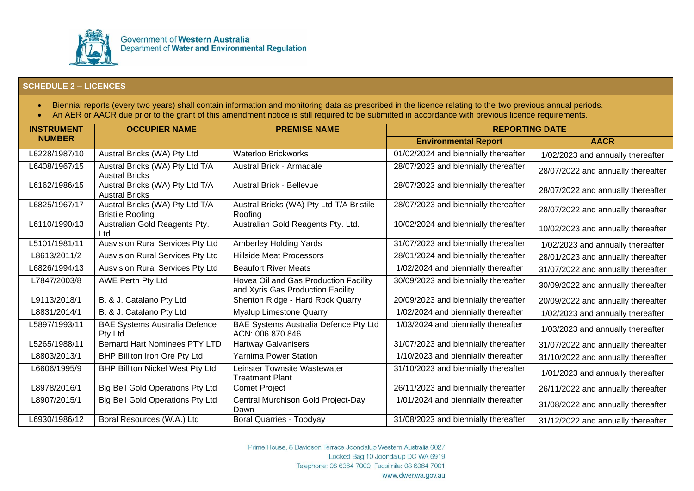

- Biennial reports (every two years) shall contain information and monitoring data as prescribed in the licence relating to the two previous annual periods.
- An AER or AACR due prior to the grant of this amendment notice is still required to be submitted in accordance with previous licence requirements.

| <b>INSTRUMENT</b> | <b>OCCUPIER NAME</b>                                       | <b>PREMISE NAME</b>                                                        | <b>REPORTING DATE</b>                |                                    |
|-------------------|------------------------------------------------------------|----------------------------------------------------------------------------|--------------------------------------|------------------------------------|
| <b>NUMBER</b>     |                                                            |                                                                            | <b>Environmental Report</b>          | <b>AACR</b>                        |
| L6228/1987/10     | Austral Bricks (WA) Pty Ltd                                | <b>Waterloo Brickworks</b>                                                 | 01/02/2024 and biennially thereafter | 1/02/2023 and annually thereafter  |
| L6408/1967/15     | Austral Bricks (WA) Pty Ltd T/A<br><b>Austral Bricks</b>   | Austral Brick - Armadale                                                   | 28/07/2023 and biennially thereafter | 28/07/2022 and annually thereafter |
| L6162/1986/15     | Austral Bricks (WA) Pty Ltd T/A<br><b>Austral Bricks</b>   | <b>Austral Brick - Bellevue</b>                                            | 28/07/2023 and biennially thereafter | 28/07/2022 and annually thereafter |
| L6825/1967/17     | Austral Bricks (WA) Pty Ltd T/A<br><b>Bristile Roofing</b> | Austral Bricks (WA) Pty Ltd T/A Bristile<br>Roofing                        | 28/07/2023 and biennially thereafter | 28/07/2022 and annually thereafter |
| L6110/1990/13     | Australian Gold Reagents Pty.<br>Ltd.                      | Australian Gold Reagents Pty. Ltd.                                         | 10/02/2024 and biennially thereafter | 10/02/2023 and annually thereafter |
| L5101/1981/11     | <b>Ausvision Rural Services Pty Ltd</b>                    | Amberley Holding Yards                                                     | 31/07/2023 and biennially thereafter | 1/02/2023 and annually thereafter  |
| L8613/2011/2      | Ausvision Rural Services Pty Ltd                           | <b>Hillside Meat Processors</b>                                            | 28/01/2024 and biennially thereafter | 28/01/2023 and annually thereafter |
| L6826/1994/13     | Ausvision Rural Services Pty Ltd                           | <b>Beaufort River Meats</b>                                                | 1/02/2024 and biennially thereafter  | 31/07/2022 and annually thereafter |
| L7847/2003/8      | <b>AWE Perth Pty Ltd</b>                                   | Hovea Oil and Gas Production Facility<br>and Xyris Gas Production Facility | 30/09/2023 and biennially thereafter | 30/09/2022 and annually thereafter |
| L9113/2018/1      | B. & J. Catalano Pty Ltd                                   | Shenton Ridge - Hard Rock Quarry                                           | 20/09/2023 and biennially thereafter | 20/09/2022 and annually thereafter |
| L8831/2014/1      | B. & J. Catalano Pty Ltd                                   | <b>Myalup Limestone Quarry</b>                                             | 1/02/2024 and biennially thereafter  | 1/02/2023 and annually thereafter  |
| L5897/1993/11     | <b>BAE Systems Australia Defence</b><br>Pty Ltd            | BAE Systems Australia Defence Pty Ltd<br>ACN: 006 870 846                  | 1/03/2024 and biennially thereafter  | 1/03/2023 and annually thereafter  |
| L5265/1988/11     | <b>Bernard Hart Nominees PTY LTD</b>                       | <b>Hartway Galvanisers</b>                                                 | 31/07/2023 and biennially thereafter | 31/07/2022 and annually thereafter |
| L8803/2013/1      | BHP Billiton Iron Ore Pty Ltd                              | <b>Yarnima Power Station</b>                                               | 1/10/2023 and biennially thereafter  | 31/10/2022 and annually thereafter |
| L6606/1995/9      | <b>BHP Billiton Nickel West Pty Ltd</b>                    | Leinster Townsite Wastewater<br><b>Treatment Plant</b>                     | 31/10/2023 and biennially thereafter | 1/01/2023 and annually thereafter  |
| L8978/2016/1      | <b>Big Bell Gold Operations Pty Ltd</b>                    | <b>Comet Project</b>                                                       | 26/11/2023 and biennially thereafter | 26/11/2022 and annually thereafter |
| L8907/2015/1      | <b>Big Bell Gold Operations Pty Ltd</b>                    | Central Murchison Gold Project-Day<br>Dawn                                 | 1/01/2024 and biennially thereafter  | 31/08/2022 and annually thereafter |
| L6930/1986/12     | Boral Resources (W.A.) Ltd                                 | <b>Boral Quarries - Toodyay</b>                                            | 31/08/2023 and biennially thereafter | 31/12/2022 and annually thereafter |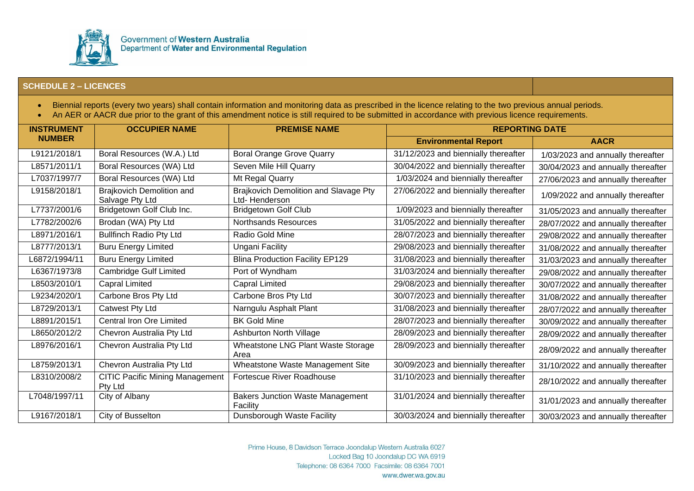

- Biennial reports (every two years) shall contain information and monitoring data as prescribed in the licence relating to the two previous annual periods.
- An AER or AACR due prior to the grant of this amendment notice is still required to be submitted in accordance with previous licence requirements.

| <b>INSTRUMENT</b> | <b>OCCUPIER NAME</b>                              | <b>PREMISE NAME</b>                                    | <b>REPORTING DATE</b>                |                                    |
|-------------------|---------------------------------------------------|--------------------------------------------------------|--------------------------------------|------------------------------------|
| <b>NUMBER</b>     |                                                   |                                                        | <b>Environmental Report</b>          | <b>AACR</b>                        |
| L9121/2018/1      | Boral Resources (W.A.) Ltd                        | <b>Boral Orange Grove Quarry</b>                       | 31/12/2023 and biennially thereafter | 1/03/2023 and annually thereafter  |
| L8571/2011/1      | Boral Resources (WA) Ltd                          | Seven Mile Hill Quarry                                 | 30/04/2022 and biennially thereafter | 30/04/2023 and annually thereafter |
| L7037/1997/7      | Boral Resources (WA) Ltd                          | Mt Regal Quarry                                        | 1/03/2024 and biennially thereafter  | 27/06/2023 and annually thereafter |
| L9158/2018/1      | Brajkovich Demolition and<br>Salvage Pty Ltd      | Brajkovich Demolition and Slavage Pty<br>Ltd-Henderson | 27/06/2022 and biennially thereafter | 1/09/2022 and annually thereafter  |
| L7737/2001/6      | Bridgetown Golf Club Inc.                         | <b>Bridgetown Golf Club</b>                            | 1/09/2023 and biennially thereafter  | 31/05/2023 and annually thereafter |
| L7782/2002/6      | Brodan (WA) Pty Ltd                               | <b>Northsands Resources</b>                            | 31/05/2022 and biennially thereafter | 28/07/2022 and annually thereafter |
| L8971/2016/1      | <b>Bullfinch Radio Pty Ltd</b>                    | Radio Gold Mine                                        | 28/07/2023 and biennially thereafter | 29/08/2022 and annually thereafter |
| L8777/2013/1      | <b>Buru Energy Limited</b>                        | Ungani Facility                                        | 29/08/2023 and biennially thereafter | 31/08/2022 and annually thereafter |
| L6872/1994/11     | <b>Buru Energy Limited</b>                        | <b>Blina Production Facility EP129</b>                 | 31/08/2023 and biennially thereafter | 31/03/2023 and annually thereafter |
| L6367/1973/8      | <b>Cambridge Gulf Limited</b>                     | Port of Wyndham                                        | 31/03/2024 and biennially thereafter | 29/08/2022 and annually thereafter |
| L8503/2010/1      | <b>Capral Limited</b>                             | <b>Capral Limited</b>                                  | 29/08/2023 and biennially thereafter | 30/07/2022 and annually thereafter |
| L9234/2020/1      | Carbone Bros Pty Ltd                              | Carbone Bros Pty Ltd                                   | 30/07/2023 and biennially thereafter | 31/08/2022 and annually thereafter |
| L8729/2013/1      | Catwest Pty Ltd                                   | Narngulu Asphalt Plant                                 | 31/08/2023 and biennially thereafter | 28/07/2022 and annually thereafter |
| L8891/2015/1      | <b>Central Iron Ore Limited</b>                   | <b>BK Gold Mine</b>                                    | 28/07/2023 and biennially thereafter | 30/09/2022 and annually thereafter |
| L8650/2012/2      | Chevron Australia Pty Ltd                         | Ashburton North Village                                | 28/09/2023 and biennially thereafter | 28/09/2022 and annually thereafter |
| L8976/2016/1      | Chevron Australia Pty Ltd                         | Wheatstone LNG Plant Waste Storage<br>Area             | 28/09/2023 and biennially thereafter | 28/09/2022 and annually thereafter |
| L8759/2013/1      | Chevron Australia Pty Ltd                         | Wheatstone Waste Management Site                       | 30/09/2023 and biennially thereafter | 31/10/2022 and annually thereafter |
| L8310/2008/2      | <b>CITIC Pacific Mining Management</b><br>Pty Ltd | Fortescue River Roadhouse                              | 31/10/2023 and biennially thereafter | 28/10/2022 and annually thereafter |
| L7048/1997/11     | City of Albany                                    | <b>Bakers Junction Waste Management</b><br>Facility    | 31/01/2024 and biennially thereafter | 31/01/2023 and annually thereafter |
| L9167/2018/1      | City of Busselton                                 | Dunsborough Waste Facility                             | 30/03/2024 and biennially thereafter | 30/03/2023 and annually thereafter |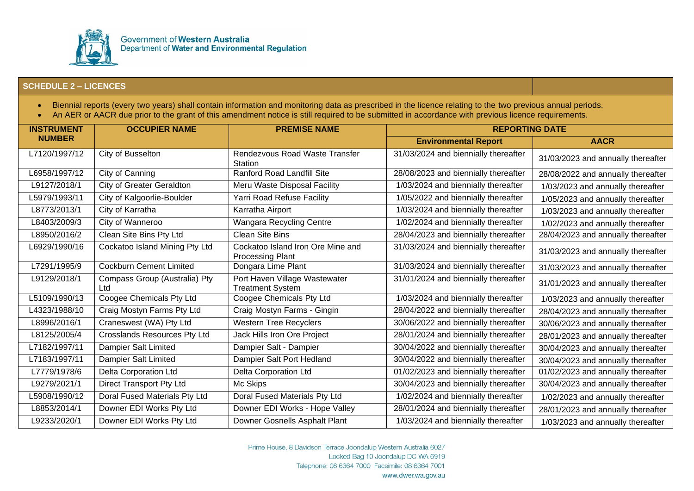

- Biennial reports (every two years) shall contain information and monitoring data as prescribed in the licence relating to the two previous annual periods.
- An AER or AACR due prior to the grant of this amendment notice is still required to be submitted in accordance with previous licence requirements.

| <b>INSTRUMENT</b> | <b>OCCUPIER NAME</b>                 | <b>PREMISE NAME</b>                                          | <b>REPORTING DATE</b>                |                                    |
|-------------------|--------------------------------------|--------------------------------------------------------------|--------------------------------------|------------------------------------|
| <b>NUMBER</b>     |                                      |                                                              | <b>Environmental Report</b>          | <b>AACR</b>                        |
| L7120/1997/12     | City of Busselton                    | Rendezvous Road Waste Transfer<br><b>Station</b>             | 31/03/2024 and biennially thereafter | 31/03/2023 and annually thereafter |
| L6958/1997/12     | City of Canning                      | <b>Ranford Road Landfill Site</b>                            | 28/08/2023 and biennially thereafter | 28/08/2022 and annually thereafter |
| L9127/2018/1      | City of Greater Geraldton            | Meru Waste Disposal Facility                                 | 1/03/2024 and biennially thereafter  | 1/03/2023 and annually thereafter  |
| L5979/1993/11     | City of Kalgoorlie-Boulder           | Yarri Road Refuse Facility                                   | 1/05/2022 and biennially thereafter  | 1/05/2023 and annually thereafter  |
| L8773/2013/1      | City of Karratha                     | Karratha Airport                                             | 1/03/2024 and biennially thereafter  | 1/03/2023 and annually thereafter  |
| L8403/2009/3      | City of Wanneroo                     | Wangara Recycling Centre                                     | 1/02/2024 and biennially thereafter  | 1/02/2023 and annually thereafter  |
| L8950/2016/2      | Clean Site Bins Pty Ltd              | <b>Clean Site Bins</b>                                       | 28/04/2023 and biennially thereafter | 28/04/2023 and annually thereafter |
| L6929/1990/16     | Cockatoo Island Mining Pty Ltd       | Cockatoo Island Iron Ore Mine and<br><b>Processing Plant</b> | 31/03/2024 and biennially thereafter | 31/03/2023 and annually thereafter |
| L7291/1995/9      | <b>Cockburn Cement Limited</b>       | Dongara Lime Plant                                           | 31/03/2024 and biennially thereafter | 31/03/2023 and annually thereafter |
| L9129/2018/1      | Compass Group (Australia) Pty<br>Ltd | Port Haven Village Wastewater<br><b>Treatment System</b>     | 31/01/2024 and biennially thereafter | 31/01/2023 and annually thereafter |
| L5109/1990/13     | Coogee Chemicals Pty Ltd             | Coogee Chemicals Pty Ltd                                     | 1/03/2024 and biennially thereafter  | 1/03/2023 and annually thereafter  |
| L4323/1988/10     | Craig Mostyn Farms Pty Ltd           | Craig Mostyn Farms - Gingin                                  | 28/04/2022 and biennially thereafter | 28/04/2023 and annually thereafter |
| L8996/2016/1      | Craneswest (WA) Pty Ltd              | <b>Western Tree Recyclers</b>                                | 30/06/2022 and biennially thereafter | 30/06/2023 and annually thereafter |
| L8125/2005/4      | <b>Crosslands Resources Pty Ltd</b>  | Jack Hills Iron Ore Project                                  | 28/01/2024 and biennially thereafter | 28/01/2023 and annually thereafter |
| L7182/1997/11     | Dampier Salt Limited                 | Dampier Salt - Dampier                                       | 30/04/2022 and biennially thereafter | 30/04/2023 and annually thereafter |
| L7183/1997/11     | Dampier Salt Limited                 | Dampier Salt Port Hedland                                    | 30/04/2022 and biennially thereafter | 30/04/2023 and annually thereafter |
| L7779/1978/6      | Delta Corporation Ltd                | <b>Delta Corporation Ltd</b>                                 | 01/02/2023 and biennially thereafter | 01/02/2023 and annually thereafter |
| L9279/2021/1      | Direct Transport Pty Ltd             | Mc Skips                                                     | 30/04/2023 and biennially thereafter | 30/04/2023 and annually thereafter |
| L5908/1990/12     | Doral Fused Materials Pty Ltd        | Doral Fused Materials Pty Ltd                                | 1/02/2024 and biennially thereafter  | 1/02/2023 and annually thereafter  |
| L8853/2014/1      | Downer EDI Works Pty Ltd             | Downer EDI Works - Hope Valley                               | 28/01/2024 and biennially thereafter | 28/01/2023 and annually thereafter |
| L9233/2020/1      | Downer EDI Works Pty Ltd             | Downer Gosnells Asphalt Plant                                | 1/03/2024 and biennially thereafter  | 1/03/2023 and annually thereafter  |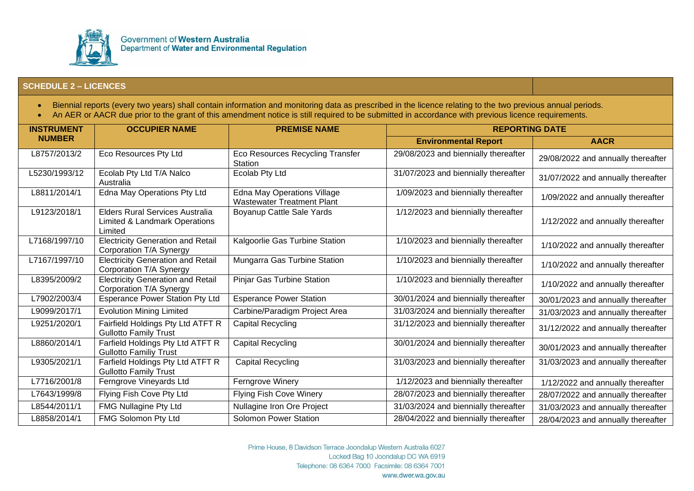

- Biennial reports (every two years) shall contain information and monitoring data as prescribed in the licence relating to the two previous annual periods.
- An AER or AACR due prior to the grant of this amendment notice is still required to be submitted in accordance with previous licence requirements.

| <b>INSTRUMENT</b> | <b>OCCUPIER NAME</b>                                                        | <b>PREMISE NAME</b>                                                     | <b>REPORTING DATE</b>                |                                    |
|-------------------|-----------------------------------------------------------------------------|-------------------------------------------------------------------------|--------------------------------------|------------------------------------|
| <b>NUMBER</b>     |                                                                             |                                                                         | <b>Environmental Report</b>          | <b>AACR</b>                        |
| L8757/2013/2      | Eco Resources Pty Ltd                                                       | Eco Resources Recycling Transfer<br>Station                             | 29/08/2023 and biennially thereafter | 29/08/2022 and annually thereafter |
| L5230/1993/12     | Ecolab Pty Ltd T/A Nalco<br>Australia                                       | Ecolab Pty Ltd                                                          | 31/07/2023 and biennially thereafter | 31/07/2022 and annually thereafter |
| L8811/2014/1      | Edna May Operations Pty Ltd                                                 | <b>Edna May Operations Village</b><br><b>Wastewater Treatment Plant</b> | 1/09/2023 and biennially thereafter  | 1/09/2022 and annually thereafter  |
| L9123/2018/1      | Elders Rural Services Australia<br>Limited & Landmark Operations<br>Limited | Boyanup Cattle Sale Yards                                               | 1/12/2023 and biennially thereafter  | 1/12/2022 and annually thereafter  |
| L7168/1997/10     | <b>Electricity Generation and Retail</b><br>Corporation T/A Synergy         | Kalgoorlie Gas Turbine Station                                          | 1/10/2023 and biennially thereafter  | 1/10/2022 and annually thereafter  |
| L7167/1997/10     | <b>Electricity Generation and Retail</b><br>Corporation T/A Synergy         | Mungarra Gas Turbine Station                                            | 1/10/2023 and biennially thereafter  | 1/10/2022 and annually thereafter  |
| L8395/2009/2      | <b>Electricity Generation and Retail</b><br>Corporation T/A Synergy         | Pinjar Gas Turbine Station                                              | 1/10/2023 and biennially thereafter  | 1/10/2022 and annually thereafter  |
| L7902/2003/4      | <b>Esperance Power Station Pty Ltd</b>                                      | <b>Esperance Power Station</b>                                          | 30/01/2024 and biennially thereafter | 30/01/2023 and annually thereafter |
| L9099/2017/1      | <b>Evolution Mining Limited</b>                                             | Carbine/Paradigm Project Area                                           | 31/03/2024 and biennially thereafter | 31/03/2023 and annually thereafter |
| L9251/2020/1      | Fairfield Holdings Pty Ltd ATFT R<br><b>Gullotto Family Trust</b>           | Capital Recycling                                                       | 31/12/2023 and biennially thereafter | 31/12/2022 and annually thereafter |
| L8860/2014/1      | Farfield Holdings Pty Ltd ATFT R<br><b>Gullotto Familiy Trust</b>           | Capital Recycling                                                       | 30/01/2024 and biennially thereafter | 30/01/2023 and annually thereafter |
| L9305/2021/1      | Farfield Holdings Pty Ltd ATFT R<br><b>Gullotto Family Trust</b>            | <b>Capital Recycling</b>                                                | 31/03/2023 and biennially thereafter | 31/03/2023 and annually thereafter |
| L7716/2001/8      | Ferngrove Vineyards Ltd                                                     | Ferngrove Winery                                                        | 1/12/2023 and biennially thereafter  | 1/12/2022 and annually thereafter  |
| L7643/1999/8      | Flying Fish Cove Pty Ltd                                                    | <b>Flying Fish Cove Winery</b>                                          | 28/07/2023 and biennially thereafter | 28/07/2022 and annually thereafter |
| L8544/2011/1      | FMG Nullagine Pty Ltd                                                       | Nullagine Iron Ore Project                                              | 31/03/2024 and biennially thereafter | 31/03/2023 and annually thereafter |
| L8858/2014/1      | FMG Solomon Pty Ltd                                                         | <b>Solomon Power Station</b>                                            | 28/04/2022 and biennially thereafter | 28/04/2023 and annually thereafter |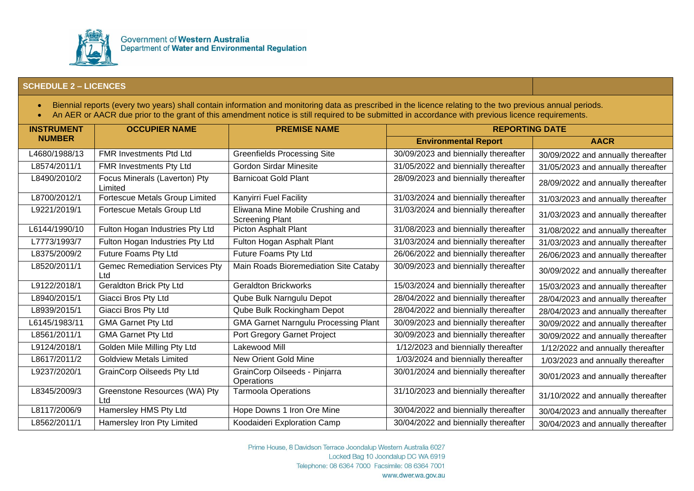

- Biennial reports (every two years) shall contain information and monitoring data as prescribed in the licence relating to the two previous annual periods.
- An AER or AACR due prior to the grant of this amendment notice is still required to be submitted in accordance with previous licence requirements.

| <b>INSTRUMENT</b> | <b>OCCUPIER NAME</b>                         | <b>PREMISE NAME</b>                                        | <b>REPORTING DATE</b>                |                                    |
|-------------------|----------------------------------------------|------------------------------------------------------------|--------------------------------------|------------------------------------|
| <b>NUMBER</b>     |                                              |                                                            | <b>Environmental Report</b>          | <b>AACR</b>                        |
| L4680/1988/13     | <b>FMR Investments Ptd Ltd</b>               | <b>Greenfields Processing Site</b>                         | 30/09/2023 and biennially thereafter | 30/09/2022 and annually thereafter |
| L8574/2011/1      | FMR Investments Pty Ltd                      | <b>Gordon Sirdar Minesite</b>                              | 31/05/2022 and biennially thereafter | 31/05/2023 and annually thereafter |
| L8490/2010/2      | Focus Minerals (Laverton) Pty<br>Limited     | <b>Barnicoat Gold Plant</b>                                | 28/09/2023 and biennially thereafter | 28/09/2022 and annually thereafter |
| L8700/2012/1      | Fortescue Metals Group Limited               | Kanyirri Fuel Facility                                     | 31/03/2024 and biennially thereafter | 31/03/2023 and annually thereafter |
| L9221/2019/1      | Fortescue Metals Group Ltd                   | Eliwana Mine Mobile Crushing and<br><b>Screening Plant</b> | 31/03/2024 and biennially thereafter | 31/03/2023 and annually thereafter |
| L6144/1990/10     | Fulton Hogan Industries Pty Ltd              | <b>Picton Asphalt Plant</b>                                | 31/08/2023 and biennially thereafter | 31/08/2022 and annually thereafter |
| L7773/1993/7      | Fulton Hogan Industries Pty Ltd              | Fulton Hogan Asphalt Plant                                 | 31/03/2024 and biennially thereafter | 31/03/2023 and annually thereafter |
| L8375/2009/2      | Future Foams Pty Ltd                         | Future Foams Pty Ltd                                       | 26/06/2022 and biennially thereafter | 26/06/2023 and annually thereafter |
| L8520/2011/1      | <b>Gemec Remediation Services Pty</b><br>Ltd | Main Roads Bioremediation Site Cataby                      | 30/09/2023 and biennially thereafter | 30/09/2022 and annually thereafter |
| L9122/2018/1      | <b>Geraldton Brick Pty Ltd</b>               | <b>Geraldton Brickworks</b>                                | 15/03/2024 and biennially thereafter | 15/03/2023 and annually thereafter |
| L8940/2015/1      | Giacci Bros Pty Ltd                          | Qube Bulk Narngulu Depot                                   | 28/04/2022 and biennially thereafter | 28/04/2023 and annually thereafter |
| L8939/2015/1      | Giacci Bros Pty Ltd                          | Qube Bulk Rockingham Depot                                 | 28/04/2022 and biennially thereafter | 28/04/2023 and annually thereafter |
| L6145/1983/11     | <b>GMA Garnet Pty Ltd</b>                    | <b>GMA Garnet Narngulu Processing Plant</b>                | 30/09/2023 and biennially thereafter | 30/09/2022 and annually thereafter |
| L8561/2011/1      | <b>GMA Garnet Pty Ltd</b>                    | Port Gregory Garnet Project                                | 30/09/2023 and biennially thereafter | 30/09/2022 and annually thereafter |
| L9124/2018/1      | Golden Mile Milling Pty Ltd                  | Lakewood Mill                                              | 1/12/2023 and biennially thereafter  | 1/12/2022 and annually thereafter  |
| L8617/2011/2      | <b>Goldview Metals Limited</b>               | New Orient Gold Mine                                       | 1/03/2024 and biennially thereafter  | 1/03/2023 and annually thereafter  |
| L9237/2020/1      | <b>GrainCorp Oilseeds Pty Ltd</b>            | GrainCorp Oilseeds - Pinjarra<br>Operations                | 30/01/2024 and biennially thereafter | 30/01/2023 and annually thereafter |
| L8345/2009/3      | Greenstone Resources (WA) Pty<br>Ltd         | <b>Tarmoola Operations</b>                                 | 31/10/2023 and biennially thereafter | 31/10/2022 and annually thereafter |
| L8117/2006/9      | Hamersley HMS Pty Ltd                        | Hope Downs 1 Iron Ore Mine                                 | 30/04/2022 and biennially thereafter | 30/04/2023 and annually thereafter |
| L8562/2011/1      | Hamersley Iron Pty Limited                   | Koodaideri Exploration Camp                                | 30/04/2022 and biennially thereafter | 30/04/2023 and annually thereafter |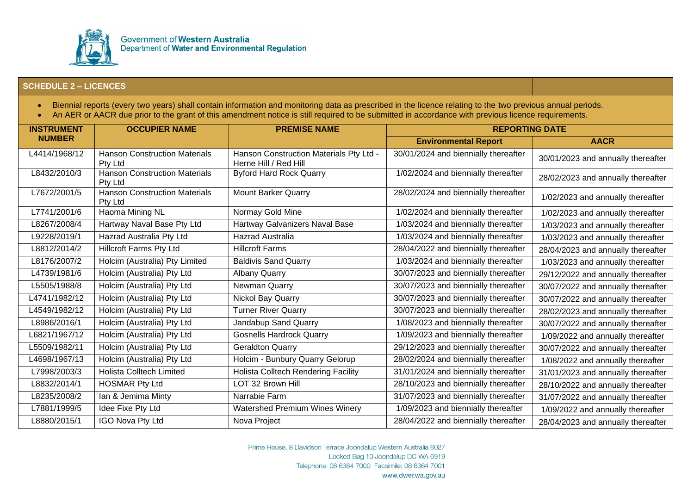

- Biennial reports (every two years) shall contain information and monitoring data as prescribed in the licence relating to the two previous annual periods.
- An AER or AACR due prior to the grant of this amendment notice is still required to be submitted in accordance with previous licence requirements.

| <b>INSTRUMENT</b> | <b>OCCUPIER NAME</b>                            | <b>PREMISE NAME</b>                                              | <b>REPORTING DATE</b>                |                                    |
|-------------------|-------------------------------------------------|------------------------------------------------------------------|--------------------------------------|------------------------------------|
| <b>NUMBER</b>     |                                                 |                                                                  | <b>Environmental Report</b>          | <b>AACR</b>                        |
| L4414/1968/12     | <b>Hanson Construction Materials</b><br>Pty Ltd | Hanson Construction Materials Pty Ltd -<br>Herne Hill / Red Hill | 30/01/2024 and biennially thereafter | 30/01/2023 and annually thereafter |
| L8432/2010/3      | <b>Hanson Construction Materials</b><br>Pty Ltd | <b>Byford Hard Rock Quarry</b>                                   | 1/02/2024 and biennially thereafter  | 28/02/2023 and annually thereafter |
| L7672/2001/5      | Hanson Construction Materials<br>Pty Ltd        | <b>Mount Barker Quarry</b>                                       | 28/02/2024 and biennially thereafter | 1/02/2023 and annually thereafter  |
| L7741/2001/6      | Haoma Mining NL                                 | Normay Gold Mine                                                 | 1/02/2024 and biennially thereafter  | 1/02/2023 and annually thereafter  |
| L8267/2008/4      | Hartway Naval Base Pty Ltd                      | Hartway Galvanizers Naval Base                                   | 1/03/2024 and biennially thereafter  | 1/03/2023 and annually thereafter  |
| L9228/2019/1      | Hazrad Australia Pty Ltd                        | Hazrad Australia                                                 | 1/03/2024 and biennially thereafter  | 1/03/2023 and annually thereafter  |
| L8812/2014/2      | <b>Hillcroft Farms Pty Ltd</b>                  | <b>Hillcroft Farms</b>                                           | 28/04/2022 and biennially thereafter | 28/04/2023 and annually thereafter |
| L8176/2007/2      | Holcim (Australia) Pty Limited                  | <b>Baldivis Sand Quarry</b>                                      | 1/03/2024 and biennially thereafter  | 1/03/2023 and annually thereafter  |
| L4739/1981/6      | Holcim (Australia) Pty Ltd                      | <b>Albany Quarry</b>                                             | 30/07/2023 and biennially thereafter | 29/12/2022 and annually thereafter |
| L5505/1988/8      | Holcim (Australia) Pty Ltd                      | Newman Quarry                                                    | 30/07/2023 and biennially thereafter | 30/07/2022 and annually thereafter |
| L4741/1982/12     | Holcim (Australia) Pty Ltd                      | Nickol Bay Quarry                                                | 30/07/2023 and biennially thereafter | 30/07/2022 and annually thereafter |
| L4549/1982/12     | Holcim (Australia) Pty Ltd                      | <b>Turner River Quarry</b>                                       | 30/07/2023 and biennially thereafter | 28/02/2023 and annually thereafter |
| L8986/2016/1      | Holcim (Australia) Pty Ltd                      | Jandabup Sand Quarry                                             | 1/08/2023 and biennially thereafter  | 30/07/2022 and annually thereafter |
| L6821/1967/12     | Holcim (Australia) Pty Ltd                      | <b>Gosnells Hardrock Quarry</b>                                  | 1/09/2023 and biennially thereafter  | 1/09/2022 and annually thereafter  |
| L5509/1982/11     | Holcim (Australia) Pty Ltd                      | <b>Geraldton Quarry</b>                                          | 29/12/2023 and biennially thereafter | 30/07/2022 and annually thereafter |
| L4698/1967/13     | Holcim (Australia) Pty Ltd                      | Holcim - Bunbury Quarry Gelorup                                  | 28/02/2024 and biennially thereafter | 1/08/2022 and annually thereafter  |
| L7998/2003/3      | <b>Holista Colltech Limited</b>                 | <b>Holista Colltech Rendering Facility</b>                       | 31/01/2024 and biennially thereafter | 31/01/2023 and annually thereafter |
| L8832/2014/1      | <b>HOSMAR Pty Ltd</b>                           | LOT 32 Brown Hill                                                | 28/10/2023 and biennially thereafter | 28/10/2022 and annually thereafter |
| L8235/2008/2      | Ian & Jemima Minty                              | Narrabie Farm                                                    | 31/07/2023 and biennially thereafter | 31/07/2022 and annually thereafter |
| L7881/1999/5      | Idee Fixe Pty Ltd                               | <b>Watershed Premium Wines Winery</b>                            | 1/09/2023 and biennially thereafter  | 1/09/2022 and annually thereafter  |
| L8880/2015/1      | IGO Nova Pty Ltd                                | Nova Project                                                     | 28/04/2022 and biennially thereafter | 28/04/2023 and annually thereafter |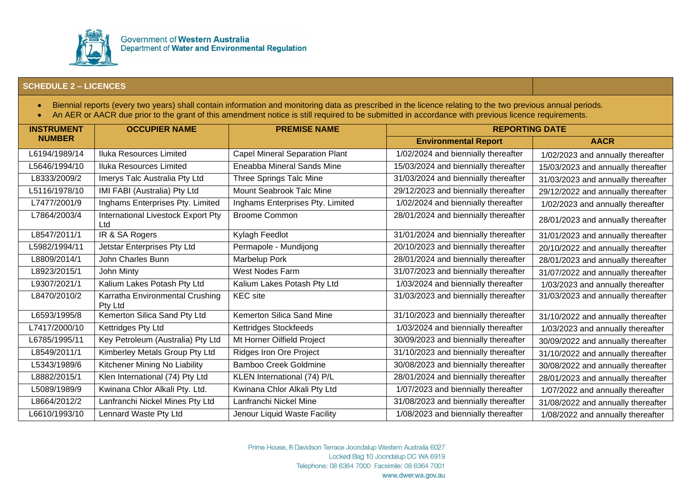

- Biennial reports (every two years) shall contain information and monitoring data as prescribed in the licence relating to the two previous annual periods.
- An AER or AACR due prior to the grant of this amendment notice is still required to be submitted in accordance with previous licence requirements.

| <b>INSTRUMENT</b> | <b>OCCUPIER NAME</b>                       | <b>PREMISE NAME</b>                   | <b>REPORTING DATE</b>                |                                    |
|-------------------|--------------------------------------------|---------------------------------------|--------------------------------------|------------------------------------|
| <b>NUMBER</b>     |                                            |                                       | <b>Environmental Report</b>          | <b>AACR</b>                        |
| L6194/1989/14     | Iluka Resources Limited                    | <b>Capel Mineral Separation Plant</b> | 1/02/2024 and biennially thereafter  | 1/02/2023 and annually thereafter  |
| L5646/1994/10     | <b>Iluka Resources Limited</b>             | Eneabba Mineral Sands Mine            | 15/03/2024 and biennially thereafter | 15/03/2023 and annually thereafter |
| L8333/2009/2      | Imerys Talc Australia Pty Ltd              | Three Springs Talc Mine               | 31/03/2024 and biennially thereafter | 31/03/2023 and annually thereafter |
| L5116/1978/10     | IMI FABI (Australia) Pty Ltd               | Mount Seabrook Talc Mine              | 29/12/2023 and biennially thereafter | 29/12/2022 and annually thereafter |
| L7477/2001/9      | Inghams Enterprises Pty. Limited           | Inghams Enterprises Pty. Limited      | 1/02/2024 and biennially thereafter  | 1/02/2023 and annually thereafter  |
| L7864/2003/4      | International Livestock Export Pty<br>Ltd  | <b>Broome Common</b>                  | 28/01/2024 and biennially thereafter | 28/01/2023 and annually thereafter |
| L8547/2011/1      | IR & SA Rogers                             | Kylagh Feedlot                        | 31/01/2024 and biennially thereafter | 31/01/2023 and annually thereafter |
| L5982/1994/11     | Jetstar Enterprises Pty Ltd                | Permapole - Mundijong                 | 20/10/2023 and biennially thereafter | 20/10/2022 and annually thereafter |
| L8809/2014/1      | John Charles Bunn                          | Marbelup Pork                         | 28/01/2024 and biennially thereafter | 28/01/2023 and annually thereafter |
| L8923/2015/1      | John Minty                                 | West Nodes Farm                       | 31/07/2023 and biennially thereafter | 31/07/2022 and annually thereafter |
| L9307/2021/1      | Kalium Lakes Potash Pty Ltd                | Kalium Lakes Potash Pty Ltd           | 1/03/2024 and biennially thereafter  | 1/03/2023 and annually thereafter  |
| L8470/2010/2      | Karratha Environmental Crushing<br>Pty Ltd | <b>KEC</b> site                       | 31/03/2023 and biennially thereafter | 31/03/2023 and annually thereafter |
| L6593/1995/8      | Kemerton Silica Sand Pty Ltd               | Kemerton Silica Sand Mine             | 31/10/2023 and biennially thereafter | 31/10/2022 and annually thereafter |
| L7417/2000/10     | Kettridges Pty Ltd                         | Kettridges Stockfeeds                 | 1/03/2024 and biennially thereafter  | 1/03/2023 and annually thereafter  |
| L6785/1995/11     | Key Petroleum (Australia) Pty Ltd          | Mt Horner Oilfield Project            | 30/09/2023 and biennially thereafter | 30/09/2022 and annually thereafter |
| L8549/2011/1      | Kimberley Metals Group Pty Ltd             | Ridges Iron Ore Project               | 31/10/2023 and biennially thereafter | 31/10/2022 and annually thereafter |
| L5343/1989/6      | Kitchener Mining No Liability              | <b>Bamboo Creek Goldmine</b>          | 30/08/2023 and biennially thereafter | 30/08/2022 and annually thereafter |
| L8882/2015/1      | Klen International (74) Pty Ltd            | KLEN International (74) P/L           | 28/01/2024 and biennially thereafter | 28/01/2023 and annually thereafter |
| L5089/1989/9      | Kwinana Chlor Alkali Pty. Ltd.             | Kwinana Chlor Alkali Pty Ltd          | 1/07/2023 and biennially thereafter  | 1/07/2022 and annually thereafter  |
| L8664/2012/2      | Lanfranchi Nickel Mines Pty Ltd            | Lanfranchi Nickel Mine                | 31/08/2023 and biennially thereafter | 31/08/2022 and annually thereafter |
| L6610/1993/10     | Lennard Waste Pty Ltd                      | Jenour Liquid Waste Facility          | 1/08/2023 and biennially thereafter  | 1/08/2022 and annually thereafter  |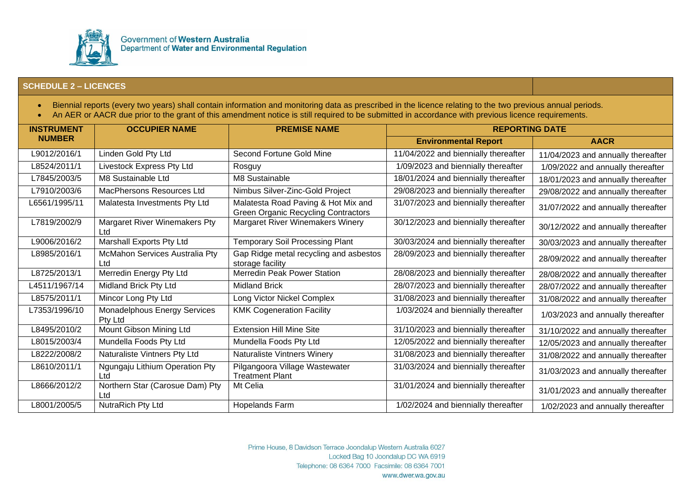

- Biennial reports (every two years) shall contain information and monitoring data as prescribed in the licence relating to the two previous annual periods.
- An AER or AACR due prior to the grant of this amendment notice is still required to be submitted in accordance with previous licence requirements.

| <b>INSTRUMENT</b> | <b>OCCUPIER NAME</b>                        | <b>PREMISE NAME</b>                                                               | <b>REPORTING DATE</b>                |                                    |
|-------------------|---------------------------------------------|-----------------------------------------------------------------------------------|--------------------------------------|------------------------------------|
| <b>NUMBER</b>     |                                             |                                                                                   | <b>Environmental Report</b>          | <b>AACR</b>                        |
| L9012/2016/1      | Linden Gold Pty Ltd                         | Second Fortune Gold Mine                                                          | 11/04/2022 and biennially thereafter | 11/04/2023 and annually thereafter |
| L8524/2011/1      | Livestock Express Pty Ltd                   | Rosguy                                                                            | 1/09/2023 and biennially thereafter  | 1/09/2022 and annually thereafter  |
| L7845/2003/5      | M8 Sustainable Ltd                          | M8 Sustainable                                                                    | 18/01/2024 and biennially thereafter | 18/01/2023 and annually thereafter |
| L7910/2003/6      | <b>MacPhersons Resources Ltd</b>            | Nimbus Silver-Zinc-Gold Project                                                   | 29/08/2023 and biennially thereafter | 29/08/2022 and annually thereafter |
| L6561/1995/11     | Malatesta Investments Pty Ltd               | Malatesta Road Paving & Hot Mix and<br><b>Green Organic Recycling Contractors</b> | 31/07/2023 and biennially thereafter | 31/07/2022 and annually thereafter |
| L7819/2002/9      | <b>Margaret River Winemakers Pty</b><br>Ltd | Margaret River Winemakers Winery                                                  | 30/12/2023 and biennially thereafter | 30/12/2022 and annually thereafter |
| L9006/2016/2      | Marshall Exports Pty Ltd                    | <b>Temporary Soil Processing Plant</b>                                            | 30/03/2024 and biennially thereafter | 30/03/2023 and annually thereafter |
| L8985/2016/1      | McMahon Services Australia Pty<br>Ltd       | Gap Ridge metal recycling and asbestos<br>storage facility                        | 28/09/2023 and biennially thereafter | 28/09/2022 and annually thereafter |
| L8725/2013/1      | Merredin Energy Pty Ltd                     | Merredin Peak Power Station                                                       | 28/08/2023 and biennially thereafter | 28/08/2022 and annually thereafter |
| L4511/1967/14     | Midland Brick Pty Ltd                       | <b>Midland Brick</b>                                                              | 28/07/2023 and biennially thereafter | 28/07/2022 and annually thereafter |
| L8575/2011/1      | Mincor Long Pty Ltd                         | Long Victor Nickel Complex                                                        | 31/08/2023 and biennially thereafter | 31/08/2022 and annually thereafter |
| L7353/1996/10     | Monadelphous Energy Services<br>Pty Ltd     | <b>KMK Cogeneration Facility</b>                                                  | 1/03/2024 and biennially thereafter  | 1/03/2023 and annually thereafter  |
| L8495/2010/2      | Mount Gibson Mining Ltd                     | <b>Extension Hill Mine Site</b>                                                   | 31/10/2023 and biennially thereafter | 31/10/2022 and annually thereafter |
| L8015/2003/4      | Mundella Foods Pty Ltd                      | Mundella Foods Pty Ltd                                                            | 12/05/2022 and biennially thereafter | 12/05/2023 and annually thereafter |
| L8222/2008/2      | Naturaliste Vintners Pty Ltd                | Naturaliste Vintners Winery                                                       | 31/08/2023 and biennially thereafter | 31/08/2022 and annually thereafter |
| L8610/2011/1      | Ngungaju Lithium Operation Pty<br>Ltd       | Pilgangoora Village Wastewater<br><b>Treatment Plant</b>                          | 31/03/2024 and biennially thereafter | 31/03/2023 and annually thereafter |
| L8666/2012/2      | Northern Star (Carosue Dam) Pty<br>Ltd      | Mt Celia                                                                          | 31/01/2024 and biennially thereafter | 31/01/2023 and annually thereafter |
| L8001/2005/5      | NutraRich Pty Ltd                           | <b>Hopelands Farm</b>                                                             | 1/02/2024 and biennially thereafter  | 1/02/2023 and annually thereafter  |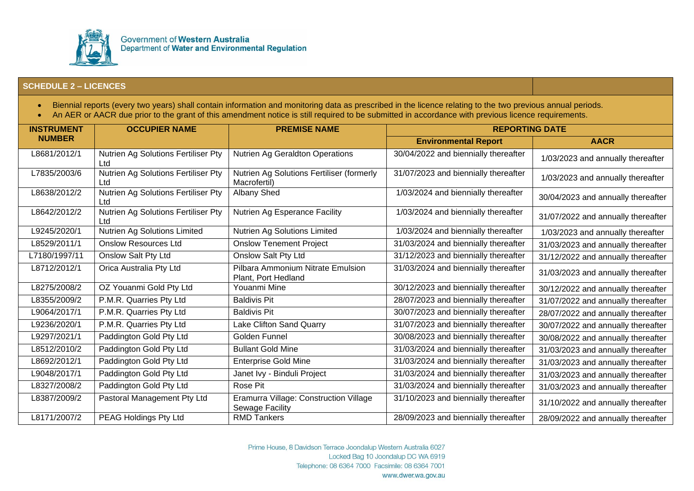

- Biennial reports (every two years) shall contain information and monitoring data as prescribed in the licence relating to the two previous annual periods.
- An AER or AACR due prior to the grant of this amendment notice is still required to be submitted in accordance with previous licence requirements.

| <b>INSTRUMENT</b> | <b>OCCUPIER NAME</b>                       | <b>PREMISE NAME</b>                                       | <b>REPORTING DATE</b>                |                                    |
|-------------------|--------------------------------------------|-----------------------------------------------------------|--------------------------------------|------------------------------------|
| <b>NUMBER</b>     |                                            |                                                           | <b>Environmental Report</b>          | <b>AACR</b>                        |
| L8681/2012/1      | Nutrien Ag Solutions Fertiliser Pty<br>Ltd | Nutrien Ag Geraldton Operations                           | 30/04/2022 and biennially thereafter | 1/03/2023 and annually thereafter  |
| L7835/2003/6      | Nutrien Ag Solutions Fertiliser Pty<br>Ltd | Nutrien Ag Solutions Fertiliser (formerly<br>Macrofertil) | 31/07/2023 and biennially thereafter | 1/03/2023 and annually thereafter  |
| L8638/2012/2      | Nutrien Ag Solutions Fertiliser Pty<br>Ltd | Albany Shed                                               | 1/03/2024 and biennially thereafter  | 30/04/2023 and annually thereafter |
| L8642/2012/2      | Nutrien Ag Solutions Fertiliser Pty<br>Ltd | Nutrien Ag Esperance Facility                             | 1/03/2024 and biennially thereafter  | 31/07/2022 and annually thereafter |
| L9245/2020/1      | Nutrien Ag Solutions Limited               | Nutrien Ag Solutions Limited                              | 1/03/2024 and biennially thereafter  | 1/03/2023 and annually thereafter  |
| L8529/2011/1      | <b>Onslow Resources Ltd</b>                | <b>Onslow Tenement Project</b>                            | 31/03/2024 and biennially thereafter | 31/03/2023 and annually thereafter |
| L7180/1997/11     | Onslow Salt Pty Ltd                        | <b>Onslow Salt Pty Ltd</b>                                | 31/12/2023 and biennially thereafter | 31/12/2022 and annually thereafter |
| L8712/2012/1      | Orica Australia Pty Ltd                    | Pilbara Ammonium Nitrate Emulsion<br>Plant, Port Hedland  | 31/03/2024 and biennially thereafter | 31/03/2023 and annually thereafter |
| L8275/2008/2      | OZ Youanmi Gold Pty Ltd                    | Youanmi Mine                                              | 30/12/2023 and biennially thereafter | 30/12/2022 and annually thereafter |
| L8355/2009/2      | P.M.R. Quarries Pty Ltd                    | <b>Baldivis Pit</b>                                       | 28/07/2023 and biennially thereafter | 31/07/2022 and annually thereafter |
| L9064/2017/1      | P.M.R. Quarries Pty Ltd                    | <b>Baldivis Pit</b>                                       | 30/07/2023 and biennially thereafter | 28/07/2022 and annually thereafter |
| L9236/2020/1      | P.M.R. Quarries Pty Ltd                    | Lake Clifton Sand Quarry                                  | 31/07/2023 and biennially thereafter | 30/07/2022 and annually thereafter |
| L9297/2021/1      | Paddington Gold Pty Ltd                    | Golden Funnel                                             | 30/08/2023 and biennially thereafter | 30/08/2022 and annually thereafter |
| L8512/2010/2      | Paddington Gold Pty Ltd                    | <b>Bullant Gold Mine</b>                                  | 31/03/2024 and biennially thereafter | 31/03/2023 and annually thereafter |
| L8692/2012/1      | Paddington Gold Pty Ltd                    | <b>Enterprise Gold Mine</b>                               | 31/03/2024 and biennially thereafter | 31/03/2023 and annually thereafter |
| L9048/2017/1      | Paddington Gold Pty Ltd                    | Janet Ivy - Binduli Project                               | 31/03/2024 and biennially thereafter | 31/03/2023 and annually thereafter |
| L8327/2008/2      | Paddington Gold Pty Ltd                    | Rose Pit                                                  | 31/03/2024 and biennially thereafter | 31/03/2023 and annually thereafter |
| L8387/2009/2      | Pastoral Management Pty Ltd                | Eramurra Village: Construction Village<br>Sewage Facility | 31/10/2023 and biennially thereafter | 31/10/2022 and annually thereafter |
| L8171/2007/2      | PEAG Holdings Pty Ltd                      | <b>RMD Tankers</b>                                        | 28/09/2023 and biennially thereafter | 28/09/2022 and annually thereafter |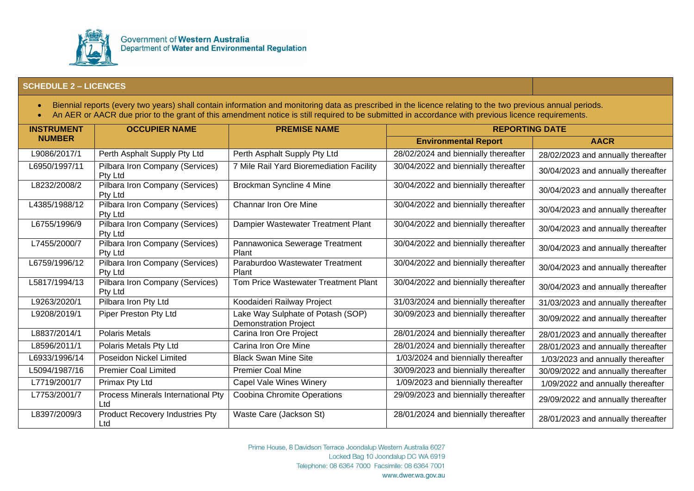

- Biennial reports (every two years) shall contain information and monitoring data as prescribed in the licence relating to the two previous annual periods.
- An AER or AACR due prior to the grant of this amendment notice is still required to be submitted in accordance with previous licence requirements.

| <b>INSTRUMENT</b> | <b>OCCUPIER NAME</b>                       | <b>PREMISE NAME</b>                                               | <b>REPORTING DATE</b>                |                                    |
|-------------------|--------------------------------------------|-------------------------------------------------------------------|--------------------------------------|------------------------------------|
| <b>NUMBER</b>     |                                            |                                                                   | <b>Environmental Report</b>          | <b>AACR</b>                        |
| L9086/2017/1      | Perth Asphalt Supply Pty Ltd               | Perth Asphalt Supply Pty Ltd                                      | 28/02/2024 and biennially thereafter | 28/02/2023 and annually thereafter |
| L6950/1997/11     | Pilbara Iron Company (Services)<br>Pty Ltd | 7 Mile Rail Yard Bioremediation Facility                          | 30/04/2022 and biennially thereafter | 30/04/2023 and annually thereafter |
| L8232/2008/2      | Pilbara Iron Company (Services)<br>Pty Ltd | Brockman Syncline 4 Mine                                          | 30/04/2022 and biennially thereafter | 30/04/2023 and annually thereafter |
| L4385/1988/12     | Pilbara Iron Company (Services)<br>Pty Ltd | <b>Channar Iron Ore Mine</b>                                      | 30/04/2022 and biennially thereafter | 30/04/2023 and annually thereafter |
| L6755/1996/9      | Pilbara Iron Company (Services)<br>Pty Ltd | Dampier Wastewater Treatment Plant                                | 30/04/2022 and biennially thereafter | 30/04/2023 and annually thereafter |
| L7455/2000/7      | Pilbara Iron Company (Services)<br>Pty Ltd | Pannawonica Sewerage Treatment<br>Plant                           | 30/04/2022 and biennially thereafter | 30/04/2023 and annually thereafter |
| L6759/1996/12     | Pilbara Iron Company (Services)<br>Pty Ltd | Paraburdoo Wastewater Treatment<br>Plant                          | 30/04/2022 and biennially thereafter | 30/04/2023 and annually thereafter |
| L5817/1994/13     | Pilbara Iron Company (Services)<br>Pty Ltd | Tom Price Wastewater Treatment Plant                              | 30/04/2022 and biennially thereafter | 30/04/2023 and annually thereafter |
| L9263/2020/1      | Pilbara Iron Pty Ltd                       | Koodaideri Railway Project                                        | 31/03/2024 and biennially thereafter | 31/03/2023 and annually thereafter |
| L9208/2019/1      | Piper Preston Pty Ltd                      | Lake Way Sulphate of Potash (SOP)<br><b>Demonstration Project</b> | 30/09/2023 and biennially thereafter | 30/09/2022 and annually thereafter |
| L8837/2014/1      | <b>Polaris Metals</b>                      | Carina Iron Ore Project                                           | 28/01/2024 and biennially thereafter | 28/01/2023 and annually thereafter |
| L8596/2011/1      | Polaris Metals Pty Ltd                     | Carina Iron Ore Mine                                              | 28/01/2024 and biennially thereafter | 28/01/2023 and annually thereafter |
| L6933/1996/14     | Poseidon Nickel Limited                    | <b>Black Swan Mine Site</b>                                       | 1/03/2024 and biennially thereafter  | 1/03/2023 and annually thereafter  |
| L5094/1987/16     | <b>Premier Coal Limited</b>                | <b>Premier Coal Mine</b>                                          | 30/09/2023 and biennially thereafter | 30/09/2022 and annually thereafter |
| L7719/2001/7      | Primax Pty Ltd                             | Capel Vale Wines Winery                                           | 1/09/2023 and biennially thereafter  | 1/09/2022 and annually thereafter  |
| L7753/2001/7      | Process Minerals International Pty<br>Ltd  | <b>Coobina Chromite Operations</b>                                | 29/09/2023 and biennially thereafter | 29/09/2022 and annually thereafter |
| L8397/2009/3      | Product Recovery Industries Pty<br>Ltd     | Waste Care (Jackson St)                                           | 28/01/2024 and biennially thereafter | 28/01/2023 and annually thereafter |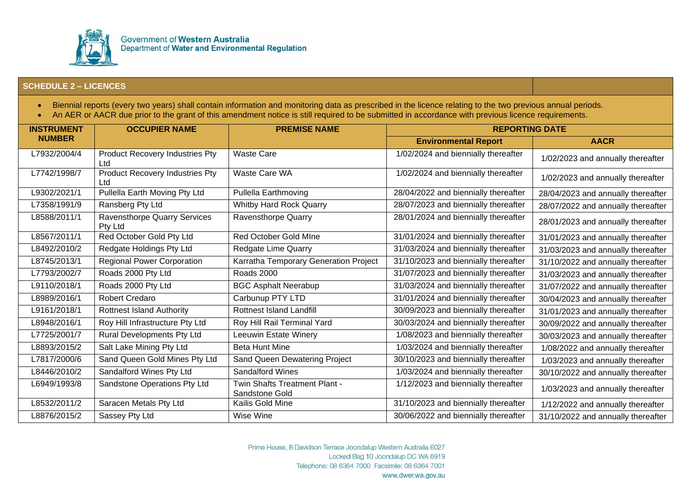

- Biennial reports (every two years) shall contain information and monitoring data as prescribed in the licence relating to the two previous annual periods.
- An AER or AACR due prior to the grant of this amendment notice is still required to be submitted in accordance with previous licence requirements.

| <b>INSTRUMENT</b> | <b>OCCUPIER NAME</b>                    | <b>PREMISE NAME</b>                             | <b>REPORTING DATE</b>                |                                    |
|-------------------|-----------------------------------------|-------------------------------------------------|--------------------------------------|------------------------------------|
| <b>NUMBER</b>     |                                         |                                                 | <b>Environmental Report</b>          | <b>AACR</b>                        |
| L7932/2004/4      | Product Recovery Industries Pty<br>Ltd  | <b>Waste Care</b>                               | 1/02/2024 and biennially thereafter  | 1/02/2023 and annually thereafter  |
| L7742/1998/7      | Product Recovery Industries Pty<br>Ltd  | Waste Care WA                                   | 1/02/2024 and biennially thereafter  | 1/02/2023 and annually thereafter  |
| L9302/2021/1      | Pullella Earth Moving Pty Ltd           | Pullella Earthmoving                            | 28/04/2022 and biennially thereafter | 28/04/2023 and annually thereafter |
| L7358/1991/9      | Ransberg Pty Ltd                        | Whitby Hard Rock Quarry                         | 28/07/2023 and biennially thereafter | 28/07/2022 and annually thereafter |
| L8588/2011/1      | Ravensthorpe Quarry Services<br>Pty Ltd | Ravensthorpe Quarry                             | 28/01/2024 and biennially thereafter | 28/01/2023 and annually thereafter |
| L8567/2011/1      | Red October Gold Pty Ltd                | <b>Red October Gold Mine</b>                    | 31/01/2024 and biennially thereafter | 31/01/2023 and annually thereafter |
| L8492/2010/2      | Redgate Holdings Pty Ltd                | Redgate Lime Quarry                             | 31/03/2024 and biennially thereafter | 31/03/2023 and annually thereafter |
| L8745/2013/1      | <b>Regional Power Corporation</b>       | Karratha Temporary Generation Project           | 31/10/2023 and biennially thereafter | 31/10/2022 and annually thereafter |
| L7793/2002/7      | Roads 2000 Pty Ltd                      | <b>Roads 2000</b>                               | 31/07/2023 and biennially thereafter | 31/03/2023 and annually thereafter |
| L9110/2018/1      | Roads 2000 Pty Ltd                      | <b>BGC Asphalt Neerabup</b>                     | 31/03/2024 and biennially thereafter | 31/07/2022 and annually thereafter |
| L8989/2016/1      | <b>Robert Credaro</b>                   | Carbunup PTY LTD                                | 31/01/2024 and biennially thereafter | 30/04/2023 and annually thereafter |
| L9161/2018/1      | <b>Rottnest Island Authority</b>        | <b>Rottnest Island Landfill</b>                 | 30/09/2023 and biennially thereafter | 31/01/2023 and annually thereafter |
| L8948/2016/1      | Roy Hill Infrastructure Pty Ltd         | Roy Hill Rail Terminal Yard                     | 30/03/2024 and biennially thereafter | 30/09/2022 and annually thereafter |
| L7725/2001/7      | Rural Developments Pty Ltd              | Leeuwin Estate Winery                           | 1/08/2023 and biennially thereafter  | 30/03/2023 and annually thereafter |
| L8893/2015/2      | Salt Lake Mining Pty Ltd                | <b>Beta Hunt Mine</b>                           | 1/03/2024 and biennially thereafter  | 1/08/2022 and annually thereafter  |
| L7817/2000/6      | Sand Queen Gold Mines Pty Ltd           | Sand Queen Dewatering Project                   | 30/10/2023 and biennially thereafter | 1/03/2023 and annually thereafter  |
| L8446/2010/2      | Sandalford Wines Pty Ltd                | <b>Sandalford Wines</b>                         | 1/03/2024 and biennially thereafter  | 30/10/2022 and annually thereafter |
| L6949/1993/8      | Sandstone Operations Pty Ltd            | Twin Shafts Treatment Plant -<br>Sandstone Gold | 1/12/2023 and biennially thereafter  | 1/03/2023 and annually thereafter  |
| L8532/2011/2      | Saracen Metals Pty Ltd                  | Kailis Gold Mine                                | 31/10/2023 and biennially thereafter | 1/12/2022 and annually thereafter  |
| L8876/2015/2      | Sassey Pty Ltd                          | Wise Wine                                       | 30/06/2022 and biennially thereafter | 31/10/2022 and annually thereafter |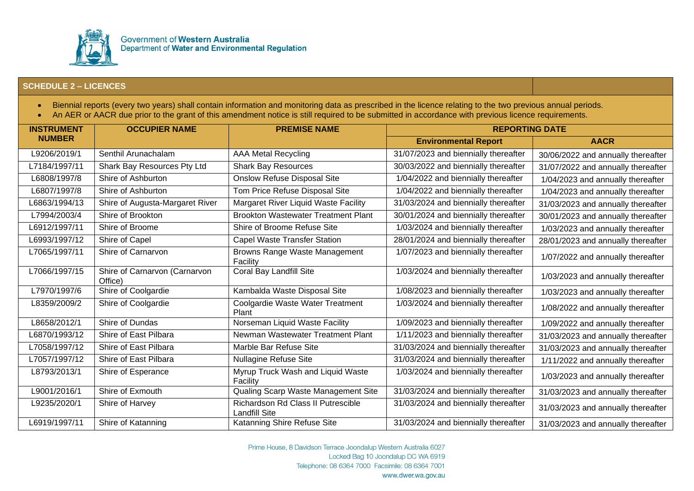

- Biennial reports (every two years) shall contain information and monitoring data as prescribed in the licence relating to the two previous annual periods.
- An AER or AACR due prior to the grant of this amendment notice is still required to be submitted in accordance with previous licence requirements.

| <b>INSTRUMENT</b> | <b>OCCUPIER NAME</b>                     | <b>PREMISE NAME</b>                                        | <b>REPORTING DATE</b>                |                                    |
|-------------------|------------------------------------------|------------------------------------------------------------|--------------------------------------|------------------------------------|
| <b>NUMBER</b>     |                                          |                                                            | <b>Environmental Report</b>          | <b>AACR</b>                        |
| L9206/2019/1      | Senthil Arunachalam                      | <b>AAA Metal Recycling</b>                                 | 31/07/2023 and biennially thereafter | 30/06/2022 and annually thereafter |
| L7184/1997/11     | Shark Bay Resources Pty Ltd              | <b>Shark Bay Resources</b>                                 | 30/03/2022 and biennially thereafter | 31/07/2022 and annually thereafter |
| L6808/1997/8      | Shire of Ashburton                       | <b>Onslow Refuse Disposal Site</b>                         | 1/04/2022 and biennially thereafter  | 1/04/2023 and annually thereafter  |
| L6807/1997/8      | Shire of Ashburton                       | Tom Price Refuse Disposal Site                             | 1/04/2022 and biennially thereafter  | 1/04/2023 and annually thereafter  |
| L6863/1994/13     | Shire of Augusta-Margaret River          | Margaret River Liquid Waste Facility                       | 31/03/2024 and biennially thereafter | 31/03/2023 and annually thereafter |
| L7994/2003/4      | Shire of Brookton                        | <b>Brookton Wastewater Treatment Plant</b>                 | 30/01/2024 and biennially thereafter | 30/01/2023 and annually thereafter |
| L6912/1997/11     | Shire of Broome                          | Shire of Broome Refuse Site                                | 1/03/2024 and biennially thereafter  | 1/03/2023 and annually thereafter  |
| L6993/1997/12     | Shire of Capel                           | <b>Capel Waste Transfer Station</b>                        | 28/01/2024 and biennially thereafter | 28/01/2023 and annually thereafter |
| L7065/1997/11     | Shire of Carnarvon                       | Browns Range Waste Management<br>Facility                  | 1/07/2023 and biennially thereafter  | 1/07/2022 and annually thereafter  |
| L7066/1997/15     | Shire of Carnarvon (Carnarvon<br>Office) | Coral Bay Landfill Site                                    | 1/03/2024 and biennially thereafter  | 1/03/2023 and annually thereafter  |
| L7970/1997/6      | Shire of Coolgardie                      | Kambalda Waste Disposal Site                               | 1/08/2023 and biennially thereafter  | 1/03/2023 and annually thereafter  |
| L8359/2009/2      | Shire of Coolgardie                      | Coolgardie Waste Water Treatment<br>Plant                  | 1/03/2024 and biennially thereafter  | 1/08/2022 and annually thereafter  |
| L8658/2012/1      | Shire of Dundas                          | Norseman Liquid Waste Facility                             | 1/09/2023 and biennially thereafter  | 1/09/2022 and annually thereafter  |
| L6870/1993/12     | Shire of East Pilbara                    | Newman Wastewater Treatment Plant                          | 1/11/2023 and biennially thereafter  | 31/03/2023 and annually thereafter |
| L7058/1997/12     | Shire of East Pilbara                    | Marble Bar Refuse Site                                     | 31/03/2024 and biennially thereafter | 31/03/2023 and annually thereafter |
| L7057/1997/12     | Shire of East Pilbara                    | <b>Nullagine Refuse Site</b>                               | 31/03/2024 and biennially thereafter | 1/11/2022 and annually thereafter  |
| L8793/2013/1      | Shire of Esperance                       | Myrup Truck Wash and Liquid Waste<br>Facility              | 1/03/2024 and biennially thereafter  | 1/03/2023 and annually thereafter  |
| L9001/2016/1      | Shire of Exmouth                         | Qualing Scarp Waste Management Site                        | 31/03/2024 and biennially thereafter | 31/03/2023 and annually thereafter |
| L9235/2020/1      | Shire of Harvey                          | Richardson Rd Class II Putrescible<br><b>Landfill Site</b> | 31/03/2024 and biennially thereafter | 31/03/2023 and annually thereafter |
| L6919/1997/11     | Shire of Katanning                       | Katanning Shire Refuse Site                                | 31/03/2024 and biennially thereafter | 31/03/2023 and annually thereafter |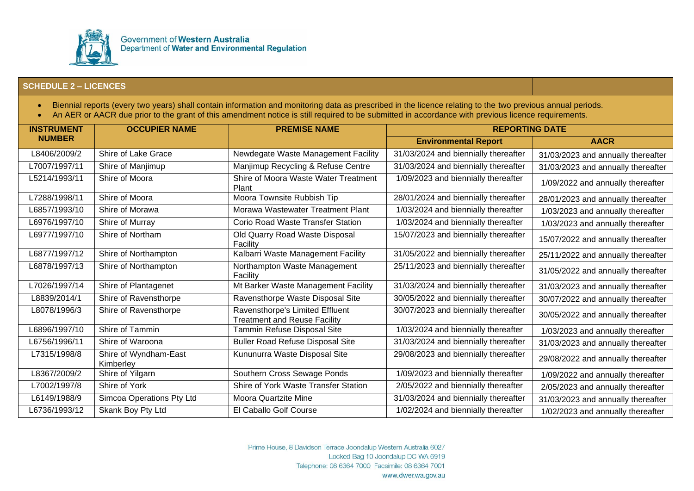

- Biennial reports (every two years) shall contain information and monitoring data as prescribed in the licence relating to the two previous annual periods.
- An AER or AACR due prior to the grant of this amendment notice is still required to be submitted in accordance with previous licence requirements.

| <b>INSTRUMENT</b> | <b>OCCUPIER NAME</b>               | <b>PREMISE NAME</b>                                                    | <b>REPORTING DATE</b>                |                                    |
|-------------------|------------------------------------|------------------------------------------------------------------------|--------------------------------------|------------------------------------|
| <b>NUMBER</b>     |                                    |                                                                        | <b>Environmental Report</b>          | <b>AACR</b>                        |
| L8406/2009/2      | Shire of Lake Grace                | Newdegate Waste Management Facility                                    | 31/03/2024 and biennially thereafter | 31/03/2023 and annually thereafter |
| L7007/1997/11     | Shire of Manjimup                  | Manjimup Recycling & Refuse Centre                                     | 31/03/2024 and biennially thereafter | 31/03/2023 and annually thereafter |
| L5214/1993/11     | Shire of Moora                     | Shire of Moora Waste Water Treatment<br>Plant                          | 1/09/2023 and biennially thereafter  | 1/09/2022 and annually thereafter  |
| L7288/1998/11     | Shire of Moora                     | Moora Townsite Rubbish Tip                                             | 28/01/2024 and biennially thereafter | 28/01/2023 and annually thereafter |
| L6857/1993/10     | Shire of Morawa                    | Morawa Wastewater Treatment Plant                                      | 1/03/2024 and biennially thereafter  | 1/03/2023 and annually thereafter  |
| L6976/1997/10     | Shire of Murray                    | <b>Corio Road Waste Transfer Station</b>                               | 1/03/2024 and biennially thereafter  | 1/03/2023 and annually thereafter  |
| L6977/1997/10     | Shire of Northam                   | Old Quarry Road Waste Disposal<br>Facility                             | 15/07/2023 and biennially thereafter | 15/07/2022 and annually thereafter |
| L6877/1997/12     | Shire of Northampton               | Kalbarri Waste Management Facility                                     | 31/05/2022 and biennially thereafter | 25/11/2022 and annually thereafter |
| L6878/1997/13     | Shire of Northampton               | Northampton Waste Management<br>Facility                               | 25/11/2023 and biennially thereafter | 31/05/2022 and annually thereafter |
| L7026/1997/14     | Shire of Plantagenet               | Mt Barker Waste Management Facility                                    | 31/03/2024 and biennially thereafter | 31/03/2023 and annually thereafter |
| L8839/2014/1      | Shire of Ravensthorpe              | Ravensthorpe Waste Disposal Site                                       | 30/05/2022 and biennially thereafter | 30/07/2022 and annually thereafter |
| L8078/1996/3      | Shire of Ravensthorpe              | Ravensthorpe's Limited Effluent<br><b>Treatment and Reuse Facility</b> | 30/07/2023 and biennially thereafter | 30/05/2022 and annually thereafter |
| L6896/1997/10     | Shire of Tammin                    | Tammin Refuse Disposal Site                                            | 1/03/2024 and biennially thereafter  | 1/03/2023 and annually thereafter  |
| L6756/1996/11     | Shire of Waroona                   | <b>Buller Road Refuse Disposal Site</b>                                | 31/03/2024 and biennially thereafter | 31/03/2023 and annually thereafter |
| L7315/1998/8      | Shire of Wyndham-East<br>Kimberley | Kununurra Waste Disposal Site                                          | 29/08/2023 and biennially thereafter | 29/08/2022 and annually thereafter |
| L8367/2009/2      | Shire of Yilgarn                   | Southern Cross Sewage Ponds                                            | 1/09/2023 and biennially thereafter  | 1/09/2022 and annually thereafter  |
| L7002/1997/8      | Shire of York                      | Shire of York Waste Transfer Station                                   | 2/05/2022 and biennially thereafter  | 2/05/2023 and annually thereafter  |
| L6149/1988/9      | Simcoa Operations Pty Ltd          | Moora Quartzite Mine                                                   | 31/03/2024 and biennially thereafter | 31/03/2023 and annually thereafter |
| L6736/1993/12     | Skank Boy Pty Ltd                  | El Caballo Golf Course                                                 | 1/02/2024 and biennially thereafter  | 1/02/2023 and annually thereafter  |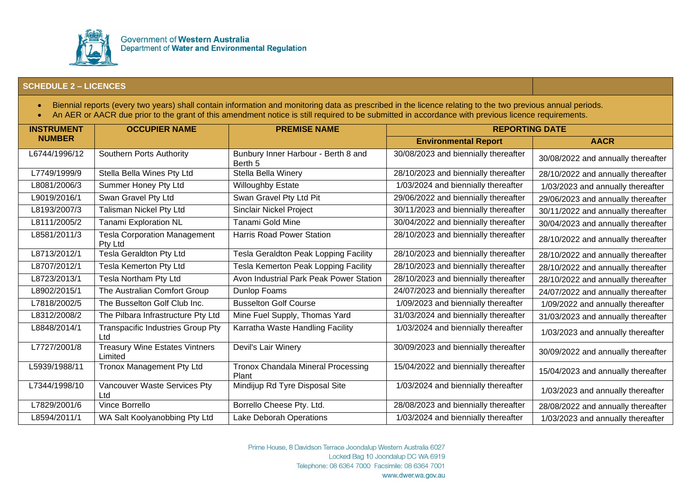

- Biennial reports (every two years) shall contain information and monitoring data as prescribed in the licence relating to the two previous annual periods.
- An AER or AACR due prior to the grant of this amendment notice is still required to be submitted in accordance with previous licence requirements.

| <b>INSTRUMENT</b> | <b>OCCUPIER NAME</b>                             | <b>PREMISE NAME</b>                            | <b>REPORTING DATE</b>                |                                    |
|-------------------|--------------------------------------------------|------------------------------------------------|--------------------------------------|------------------------------------|
| <b>NUMBER</b>     |                                                  |                                                | <b>Environmental Report</b>          | <b>AACR</b>                        |
| L6744/1996/12     | <b>Southern Ports Authority</b>                  | Bunbury Inner Harbour - Berth 8 and<br>Berth 5 | 30/08/2023 and biennially thereafter | 30/08/2022 and annually thereafter |
| L7749/1999/9      | Stella Bella Wines Pty Ltd                       | Stella Bella Winery                            | 28/10/2023 and biennially thereafter | 28/10/2022 and annually thereafter |
| L8081/2006/3      | Summer Honey Pty Ltd                             | <b>Willoughby Estate</b>                       | 1/03/2024 and biennially thereafter  | 1/03/2023 and annually thereafter  |
| L9019/2016/1      | Swan Gravel Pty Ltd                              | Swan Gravel Pty Ltd Pit                        | 29/06/2022 and biennially thereafter | 29/06/2023 and annually thereafter |
| L8193/2007/3      | Talisman Nickel Pty Ltd                          | <b>Sinclair Nickel Project</b>                 | 30/11/2023 and biennially thereafter | 30/11/2022 and annually thereafter |
| L8111/2005/2      | Tanami Exploration NL                            | Tanami Gold Mine                               | 30/04/2022 and biennially thereafter | 30/04/2023 and annually thereafter |
| L8581/2011/3      | <b>Tesla Corporation Management</b><br>Pty Ltd   | <b>Harris Road Power Station</b>               | 28/10/2023 and biennially thereafter | 28/10/2022 and annually thereafter |
| L8713/2012/1      | Tesla Geraldton Pty Ltd                          | Tesla Geraldton Peak Lopping Facility          | 28/10/2023 and biennially thereafter | 28/10/2022 and annually thereafter |
| L8707/2012/1      | Tesla Kemerton Pty Ltd                           | Tesla Kemerton Peak Lopping Facility           | 28/10/2023 and biennially thereafter | 28/10/2022 and annually thereafter |
| L8723/2013/1      | Tesla Northam Pty Ltd                            | Avon Industrial Park Peak Power Station        | 28/10/2023 and biennially thereafter | 28/10/2022 and annually thereafter |
| L8902/2015/1      | The Australian Comfort Group                     | Dunlop Foams                                   | 24/07/2023 and biennially thereafter | 24/07/2022 and annually thereafter |
| L7818/2002/5      | The Busselton Golf Club Inc.                     | <b>Busselton Golf Course</b>                   | 1/09/2023 and biennially thereafter  | 1/09/2022 and annually thereafter  |
| L8312/2008/2      | The Pilbara Infrastructure Pty Ltd               | Mine Fuel Supply, Thomas Yard                  | 31/03/2024 and biennially thereafter | 31/03/2023 and annually thereafter |
| L8848/2014/1      | Transpacific Industries Group Pty<br>Ltd         | Karratha Waste Handling Facility               | 1/03/2024 and biennially thereafter  | 1/03/2023 and annually thereafter  |
| L7727/2001/8      | <b>Treasury Wine Estates Vintners</b><br>Limited | Devil's Lair Winery                            | 30/09/2023 and biennially thereafter | 30/09/2022 and annually thereafter |
| L5939/1988/11     | Tronox Management Pty Ltd                        | Tronox Chandala Mineral Processing<br>Plant    | 15/04/2022 and biennially thereafter | 15/04/2023 and annually thereafter |
| L7344/1998/10     | Vancouver Waste Services Pty<br>Ltd              | Mindijup Rd Tyre Disposal Site                 | 1/03/2024 and biennially thereafter  | 1/03/2023 and annually thereafter  |
| L7829/2001/6      | Vince Borrello                                   | Borrello Cheese Pty. Ltd.                      | 28/08/2023 and biennially thereafter | 28/08/2022 and annually thereafter |
| L8594/2011/1      | WA Salt Koolyanobbing Pty Ltd                    | Lake Deborah Operations                        | 1/03/2024 and biennially thereafter  | 1/03/2023 and annually thereafter  |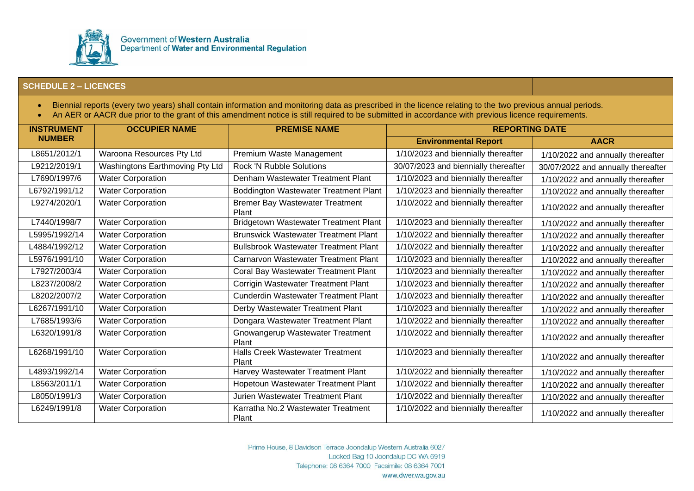

- Biennial reports (every two years) shall contain information and monitoring data as prescribed in the licence relating to the two previous annual periods.
- An AER or AACR due prior to the grant of this amendment notice is still required to be submitted in accordance with previous licence requirements.

| <b>INSTRUMENT</b> | <b>OCCUPIER NAME</b>            | <b>PREMISE NAME</b>                              | <b>REPORTING DATE</b>                |                                    |
|-------------------|---------------------------------|--------------------------------------------------|--------------------------------------|------------------------------------|
| <b>NUMBER</b>     |                                 |                                                  | <b>Environmental Report</b>          | <b>AACR</b>                        |
| L8651/2012/1      | Waroona Resources Pty Ltd       | Premium Waste Management                         | 1/10/2023 and biennially thereafter  | 1/10/2022 and annually thereafter  |
| L9212/2019/1      | Washingtons Earthmoving Pty Ltd | <b>Rock 'N Rubble Solutions</b>                  | 30/07/2023 and biennially thereafter | 30/07/2022 and annually thereafter |
| L7690/1997/6      | <b>Water Corporation</b>        | Denham Wastewater Treatment Plant                | 1/10/2023 and biennially thereafter  | 1/10/2022 and annually thereafter  |
| L6792/1991/12     | <b>Water Corporation</b>        | Boddington Wastewater Treatment Plant            | 1/10/2023 and biennially thereafter  | 1/10/2022 and annually thereafter  |
| L9274/2020/1      | <b>Water Corporation</b>        | <b>Bremer Bay Wastewater Treatment</b><br>Plant  | 1/10/2022 and biennially thereafter  | 1/10/2022 and annually thereafter  |
| L7440/1998/7      | <b>Water Corporation</b>        | <b>Bridgetown Wastewater Treatment Plant</b>     | 1/10/2023 and biennially thereafter  | 1/10/2022 and annually thereafter  |
| L5995/1992/14     | Water Corporation               | <b>Brunswick Wastewater Treatment Plant</b>      | 1/10/2022 and biennially thereafter  | 1/10/2022 and annually thereafter  |
| L4884/1992/12     | <b>Water Corporation</b>        | <b>Bullsbrook Wastewater Treatment Plant</b>     | 1/10/2022 and biennially thereafter  | 1/10/2022 and annually thereafter  |
| L5976/1991/10     | <b>Water Corporation</b>        | <b>Carnarvon Wastewater Treatment Plant</b>      | 1/10/2023 and biennially thereafter  | 1/10/2022 and annually thereafter  |
| L7927/2003/4      | <b>Water Corporation</b>        | Coral Bay Wastewater Treatment Plant             | 1/10/2023 and biennially thereafter  | 1/10/2022 and annually thereafter  |
| L8237/2008/2      | Water Corporation               | Corrigin Wastewater Treatment Plant              | 1/10/2023 and biennially thereafter  | 1/10/2022 and annually thereafter  |
| L8202/2007/2      | <b>Water Corporation</b>        | <b>Cunderdin Wastewater Treatment Plant</b>      | 1/10/2023 and biennially thereafter  | 1/10/2022 and annually thereafter  |
| L6267/1991/10     | <b>Water Corporation</b>        | Derby Wastewater Treatment Plant                 | 1/10/2023 and biennially thereafter  | 1/10/2022 and annually thereafter  |
| L7685/1993/6      | <b>Water Corporation</b>        | Dongara Wastewater Treatment Plant               | 1/10/2022 and biennially thereafter  | 1/10/2022 and annually thereafter  |
| L6320/1991/8      | <b>Water Corporation</b>        | Gnowangerup Wastewater Treatment<br>Plant        | 1/10/2022 and biennially thereafter  | 1/10/2022 and annually thereafter  |
| L6268/1991/10     | <b>Water Corporation</b>        | <b>Halls Creek Wastewater Treatment</b><br>Plant | 1/10/2023 and biennially thereafter  | 1/10/2022 and annually thereafter  |
| L4893/1992/14     | <b>Water Corporation</b>        | Harvey Wastewater Treatment Plant                | 1/10/2022 and biennially thereafter  | 1/10/2022 and annually thereafter  |
| L8563/2011/1      | <b>Water Corporation</b>        | Hopetoun Wastewater Treatment Plant              | 1/10/2022 and biennially thereafter  | 1/10/2022 and annually thereafter  |
| L8050/1991/3      | <b>Water Corporation</b>        | Jurien Wastewater Treatment Plant                | 1/10/2022 and biennially thereafter  | 1/10/2022 and annually thereafter  |
| L6249/1991/8      | <b>Water Corporation</b>        | Karratha No.2 Wastewater Treatment<br>Plant      | 1/10/2022 and biennially thereafter  | 1/10/2022 and annually thereafter  |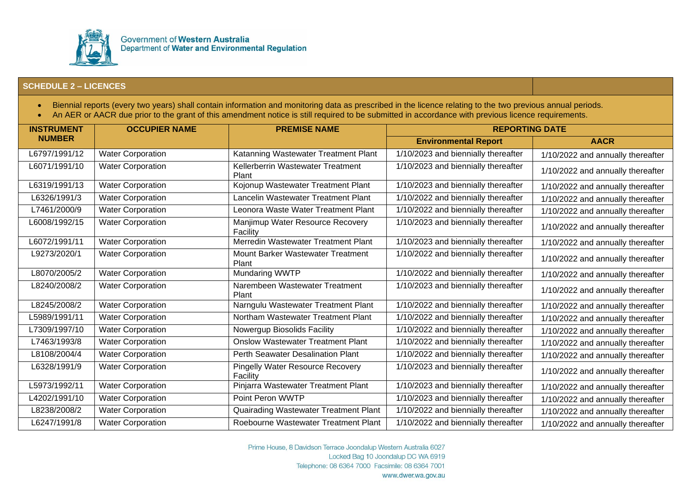

- Biennial reports (every two years) shall contain information and monitoring data as prescribed in the licence relating to the two previous annual periods.
- An AER or AACR due prior to the grant of this amendment notice is still required to be submitted in accordance with previous licence requirements.

| <b>INSTRUMENT</b> | <b>OCCUPIER NAME</b>     | <b>PREMISE NAME</b>                                 | <b>REPORTING DATE</b>               |                                   |
|-------------------|--------------------------|-----------------------------------------------------|-------------------------------------|-----------------------------------|
| <b>NUMBER</b>     |                          |                                                     | <b>Environmental Report</b>         | <b>AACR</b>                       |
| L6797/1991/12     | <b>Water Corporation</b> | Katanning Wastewater Treatment Plant                | 1/10/2023 and biennially thereafter | 1/10/2022 and annually thereafter |
| L6071/1991/10     | <b>Water Corporation</b> | Kellerberrin Wastewater Treatment<br>Plant          | 1/10/2023 and biennially thereafter | 1/10/2022 and annually thereafter |
| L6319/1991/13     | <b>Water Corporation</b> | Kojonup Wastewater Treatment Plant                  | 1/10/2023 and biennially thereafter | 1/10/2022 and annually thereafter |
| L6326/1991/3      | <b>Water Corporation</b> | Lancelin Wastewater Treatment Plant                 | 1/10/2022 and biennially thereafter | 1/10/2022 and annually thereafter |
| L7461/2000/9      | <b>Water Corporation</b> | Leonora Waste Water Treatment Plant                 | 1/10/2022 and biennially thereafter | 1/10/2022 and annually thereafter |
| L6008/1992/15     | <b>Water Corporation</b> | Manjimup Water Resource Recovery<br>Facility        | 1/10/2023 and biennially thereafter | 1/10/2022 and annually thereafter |
| L6072/1991/11     | <b>Water Corporation</b> | Merredin Wastewater Treatment Plant                 | 1/10/2023 and biennially thereafter | 1/10/2022 and annually thereafter |
| L9273/2020/1      | <b>Water Corporation</b> | Mount Barker Wastewater Treatment<br>Plant          | 1/10/2022 and biennially thereafter | 1/10/2022 and annually thereafter |
| L8070/2005/2      | <b>Water Corporation</b> | Mundaring WWTP                                      | 1/10/2022 and biennially thereafter | 1/10/2022 and annually thereafter |
| L8240/2008/2      | Water Corporation        | Narembeen Wastewater Treatment<br>Plant             | 1/10/2023 and biennially thereafter | 1/10/2022 and annually thereafter |
| L8245/2008/2      | <b>Water Corporation</b> | Narngulu Wastewater Treatment Plant                 | 1/10/2022 and biennially thereafter | 1/10/2022 and annually thereafter |
| L5989/1991/11     | Water Corporation        | Northam Wastewater Treatment Plant                  | 1/10/2022 and biennially thereafter | 1/10/2022 and annually thereafter |
| L7309/1997/10     | <b>Water Corporation</b> | Nowergup Biosolids Facility                         | 1/10/2022 and biennially thereafter | 1/10/2022 and annually thereafter |
| L7463/1993/8      | <b>Water Corporation</b> | <b>Onslow Wastewater Treatment Plant</b>            | 1/10/2022 and biennially thereafter | 1/10/2022 and annually thereafter |
| L8108/2004/4      | <b>Water Corporation</b> | Perth Seawater Desalination Plant                   | 1/10/2022 and biennially thereafter | 1/10/2022 and annually thereafter |
| L6328/1991/9      | <b>Water Corporation</b> | <b>Pingelly Water Resource Recovery</b><br>Facility | 1/10/2023 and biennially thereafter | 1/10/2022 and annually thereafter |
| L5973/1992/11     | <b>Water Corporation</b> | Pinjarra Wastewater Treatment Plant                 | 1/10/2023 and biennially thereafter | 1/10/2022 and annually thereafter |
| L4202/1991/10     | <b>Water Corporation</b> | Point Peron WWTP                                    | 1/10/2023 and biennially thereafter | 1/10/2022 and annually thereafter |
| L8238/2008/2      | <b>Water Corporation</b> | Quairading Wastewater Treatment Plant               | 1/10/2022 and biennially thereafter | 1/10/2022 and annually thereafter |
| L6247/1991/8      | <b>Water Corporation</b> | Roebourne Wastewater Treatment Plant                | 1/10/2022 and biennially thereafter | 1/10/2022 and annually thereafter |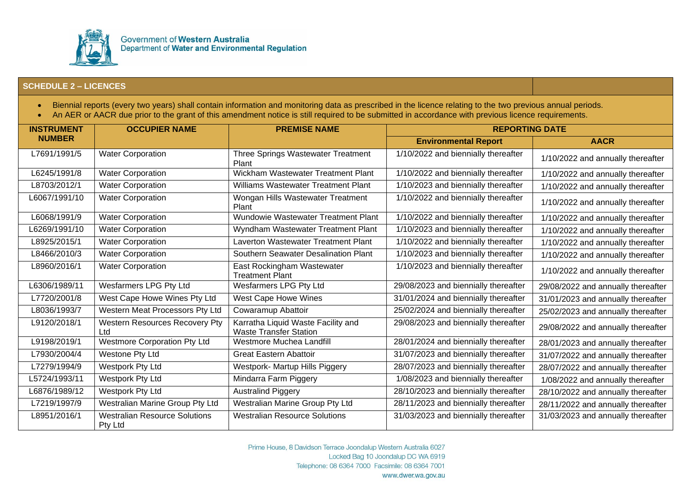

- Biennial reports (every two years) shall contain information and monitoring data as prescribed in the licence relating to the two previous annual periods.
- An AER or AACR due prior to the grant of this amendment notice is still required to be submitted in accordance with previous licence requirements.

| <b>INSTRUMENT</b> | <b>OCCUPIER NAME</b>                            | <b>PREMISE NAME</b>                                                 | <b>REPORTING DATE</b>                |                                    |
|-------------------|-------------------------------------------------|---------------------------------------------------------------------|--------------------------------------|------------------------------------|
| <b>NUMBER</b>     |                                                 |                                                                     | <b>Environmental Report</b>          | <b>AACR</b>                        |
| L7691/1991/5      | <b>Water Corporation</b>                        | Three Springs Wastewater Treatment<br>Plant                         | 1/10/2022 and biennially thereafter  | 1/10/2022 and annually thereafter  |
| L6245/1991/8      | <b>Water Corporation</b>                        | Wickham Wastewater Treatment Plant                                  | 1/10/2022 and biennially thereafter  | 1/10/2022 and annually thereafter  |
| L8703/2012/1      | <b>Water Corporation</b>                        | Williams Wastewater Treatment Plant                                 | 1/10/2023 and biennially thereafter  | 1/10/2022 and annually thereafter  |
| L6067/1991/10     | <b>Water Corporation</b>                        | Wongan Hills Wastewater Treatment<br>Plant                          | 1/10/2022 and biennially thereafter  | 1/10/2022 and annually thereafter  |
| L6068/1991/9      | <b>Water Corporation</b>                        | Wundowie Wastewater Treatment Plant                                 | 1/10/2022 and biennially thereafter  | 1/10/2022 and annually thereafter  |
| L6269/1991/10     | <b>Water Corporation</b>                        | Wyndham Wastewater Treatment Plant                                  | 1/10/2023 and biennially thereafter  | 1/10/2022 and annually thereafter  |
| L8925/2015/1      | <b>Water Corporation</b>                        | Laverton Wastewater Treatment Plant                                 | 1/10/2022 and biennially thereafter  | 1/10/2022 and annually thereafter  |
| L8466/2010/3      | <b>Water Corporation</b>                        | Southern Seawater Desalination Plant                                | 1/10/2023 and biennially thereafter  | 1/10/2022 and annually thereafter  |
| L8960/2016/1      | <b>Water Corporation</b>                        | East Rockingham Wastewater<br><b>Treatment Plant</b>                | 1/10/2023 and biennially thereafter  | 1/10/2022 and annually thereafter  |
| L6306/1989/11     | Wesfarmers LPG Pty Ltd                          | <b>Wesfarmers LPG Pty Ltd</b>                                       | 29/08/2023 and biennially thereafter | 29/08/2022 and annually thereafter |
| L7720/2001/8      | West Cape Howe Wines Pty Ltd                    | <b>West Cape Howe Wines</b>                                         | 31/01/2024 and biennially thereafter | 31/01/2023 and annually thereafter |
| L8036/1993/7      | Western Meat Processors Pty Ltd                 | Cowaramup Abattoir                                                  | 25/02/2024 and biennially thereafter | 25/02/2023 and annually thereafter |
| L9120/2018/1      | Western Resources Recovery Pty<br>Ltd           | Karratha Liquid Waste Facility and<br><b>Waste Transfer Station</b> | 29/08/2023 and biennially thereafter | 29/08/2022 and annually thereafter |
| L9198/2019/1      | <b>Westmore Corporation Pty Ltd</b>             | Westmore Muchea Landfill                                            | 28/01/2024 and biennially thereafter | 28/01/2023 and annually thereafter |
| L7930/2004/4      | Westone Pty Ltd                                 | <b>Great Eastern Abattoir</b>                                       | 31/07/2023 and biennially thereafter | 31/07/2022 and annually thereafter |
| L7279/1994/9      | Westpork Pty Ltd                                | <b>Westpork- Martup Hills Piggery</b>                               | 28/07/2023 and biennially thereafter | 28/07/2022 and annually thereafter |
| L5724/1993/11     | Westpork Pty Ltd                                | Mindarra Farm Piggery                                               | 1/08/2023 and biennially thereafter  | 1/08/2022 and annually thereafter  |
| L6876/1989/12     | Westpork Pty Ltd                                | <b>Australind Piggery</b>                                           | 28/10/2023 and biennially thereafter | 28/10/2022 and annually thereafter |
| L7219/1997/9      | Westralian Marine Group Pty Ltd                 | Westralian Marine Group Pty Ltd                                     | 28/11/2023 and biennially thereafter | 28/11/2022 and annually thereafter |
| L8951/2016/1      | <b>Westralian Resource Solutions</b><br>Pty Ltd | <b>Westralian Resource Solutions</b>                                | 31/03/2023 and biennially thereafter | 31/03/2023 and annually thereafter |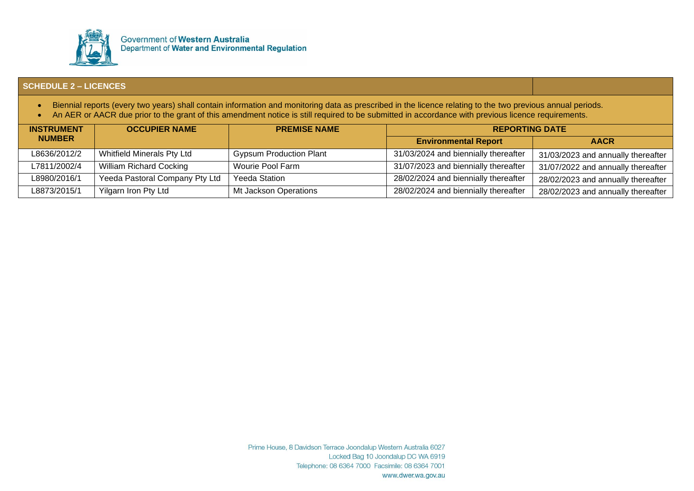

- Biennial reports (every two years) shall contain information and monitoring data as prescribed in the licence relating to the two previous annual periods.
- An AER or AACR due prior to the grant of this amendment notice is still required to be submitted in accordance with previous licence requirements.

| <b>INSTRUMENT</b> | <b>OCCUPIER NAME</b>              | <b>PREMISE NAME</b>            | <b>REPORTING DATE</b>                |                                    |
|-------------------|-----------------------------------|--------------------------------|--------------------------------------|------------------------------------|
| <b>NUMBER</b>     |                                   |                                | <b>Environmental Report</b>          | <b>AACR</b>                        |
| L8636/2012/2      | <b>Whitfield Minerals Pty Ltd</b> | <b>Gypsum Production Plant</b> | 31/03/2024 and biennially thereafter | 31/03/2023 and annually thereafter |
| L7811/2002/4      | <b>William Richard Cocking</b>    | Wourie Pool Farm               | 31/07/2023 and biennially thereafter | 31/07/2022 and annually thereafter |
| L8980/2016/1      | Yeeda Pastoral Company Pty Ltd    | Yeeda Station                  | 28/02/2024 and biennially thereafter | 28/02/2023 and annually thereafter |
| L8873/2015/1      | Yilgarn Iron Pty Ltd              | Mt Jackson Operations          | 28/02/2024 and biennially thereafter | 28/02/2023 and annually thereafter |